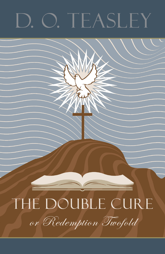# D. O. TEASLEY

## THE DOUBLE CURE

or Redemption Twofold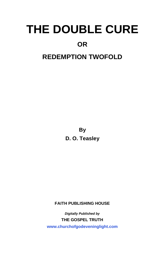#### **OR**

#### **REDEMPTION TWOFOLD**

**By D. O. Teasley**

**FAITH PUBLISHING HOUSE** 

*Digitally Published by*  **THE GOSPEL TRUTH <www.churchofgodeveninglight.com>**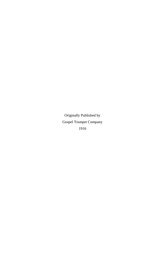Originally Published by Gospel Trumpet Company 1916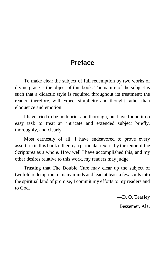#### **Preface**

To make clear the subject of full redemption by two works of divine grace is the object of this book. The nature of the subject is such that a didactic style is required throughout its treatment; the reader, therefore, will expect simplicity and thought rather than eloquence and emotion.

I have tried to be both brief and thorough, but have found it no easy task to treat an intricate and extended subject briefly, thoroughly, and clearly.

Most earnestly of all, I have endeavored to prove every assertion in this book either by a particular text or by the tenor of the Scriptures as a whole. How well I have accomplished this, and my other desires relative to this work, my readers may judge.

Trusting that The Double Cure may clear up the subject of twofold redemption in many minds and lead at least a few souls into the spiritual land of promise, I commit my efforts to my readers and to God.

> —D. O. Teasley Bessemer, Ala.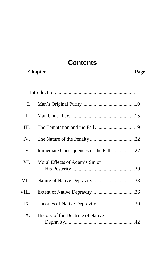#### **Contents**

**Chapter Page 2018** 

| I.    |                                   |  |
|-------|-----------------------------------|--|
| Π.    |                                   |  |
| III.  |                                   |  |
| IV.   |                                   |  |
| V.    |                                   |  |
| VI.   | Moral Effects of Adam's Sin on    |  |
| VII.  |                                   |  |
| VIII. |                                   |  |
| IX.   | Theories of Native Depravity39    |  |
| Χ.    | History of the Doctrine of Native |  |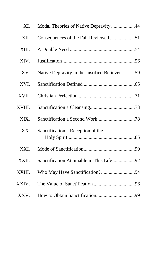| XI.    | Modal Theories of Native Depravity 44        |
|--------|----------------------------------------------|
| XII.   | Consequences of the Fall Reviewed 51         |
| XIII.  |                                              |
| XIV.   |                                              |
| XV.    | Native Depravity in the Justified Believer59 |
| XVI.   |                                              |
| XVII.  |                                              |
| XVIII. |                                              |
| XIX.   |                                              |
| XX.    | Sanctification a Reception of the            |
| XXI.   |                                              |
| XXII.  | Sanctification Attainable in This Life92     |
| XXIII. |                                              |
| XXIV.  |                                              |
| XXV.   |                                              |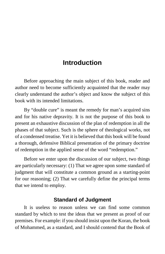#### **Introduction**

<span id="page-8-0"></span>Before approaching the main subject of this book, reader and author need to become sufficiently acquainted that the reader may clearly understand the author's object and know the subject of this book with its intended limitations.

By "double cure" is meant the remedy for man's acquired sins and for his native depravity. It is not the purpose of this book to present an exhaustive discussion of the plan of redemption in all the phases of that subject. Such is the sphere of theological works, not of a condensed treatise. Yet it is believed that this book will be found a thorough, defensive Biblical presentation of the primary doctrine of redemption in the applied sense of the word "redemption."

Before we enter upon the discussion of our subject, two things are particularly necessary: (1) That we agree upon some standard of judgment that will constitute a common ground as a starting-point for our reasoning; (2) That we carefully define the principal terms that we intend to employ.

#### **Standard of Judgment**

It is useless to reason unless we can find some common standard by which to test the ideas that we present as proof of our premises. For example: if you should insist upon the Koran, the book of Mohammed, as a standard, and I should contend that the Book of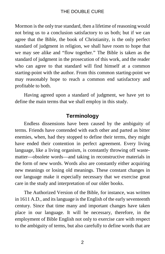Mormon is the only true standard, then a lifetime of reasoning would not bring us to a conclusion satisfactory to us both; but if we can agree that the Bible, the book of Christianity, is the only perfect standard of judgment in religion, we shall have room to hope that we may see alike and "flow together." The Bible is taken as the standard of judgment in the prosecution of this work, and the reader who can agree to that standard will find himself at a common starting-point with the author. From this common starting-point we may reasonably hope to reach a common end satisfactory and profitable to both.

Having agreed upon a standard of judgment, we have yet to define the main terms that we shall employ in this study.

#### **Terminology**

Endless dissensions have been caused by the ambiguity of terms. Friends have contended with each other and parted as bitter enemies, when, had they stopped to define their terms, they might have ended their contention in perfect agreement. Every living language, like a living organism, is constantly throwing off wastematter—obsolete words—and taking in reconstructive materials in the form of new words. Words also are constantly either acquiring new meanings or losing old meanings. These constant changes in our language make it especially necessary that we exercise great care in the study and interpretation of our older books.

The Authorized Version of the Bible, for instance, was written in 1611 A.D., and its language is the English of the early seventeenth century. Since that time many and important changes have taken place in our language. It will be necessary, therefore, in the employment of Bible English not only to exercise care with respect to the ambiguity of terms, but also carefully to define words that are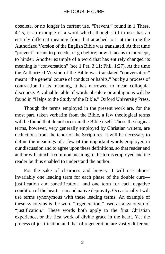obsolete, or no longer in current use. "Prevent," found in 1 Thess. 4:15, is an example of a word which, though still in use, has an entirely different meaning from that attached to it at the time the Authorized Version of the English Bible was translated. At that time "prevent" meant to precede, or go before; now it means to intercept, to hinder. Another example of a word that has entirely changed its meaning is "conversation" (see 1 Pet. 3:11; Phil. 1:27). At the time the Authorized Version of the Bible was translated "conversation" meant "the general course of conduct or habits," but by a process of contraction in its meaning, it has narrowed to mean colloquial discourse. A valuable table of words obsolete or ambiguous will be found in "Helps to the Study of the Bible," Oxford University Press.

Though the terms employed in the present work are, for the most part, taken verbatim from the Bible, a few theological terms will be found that do not occur in the Bible itself. These theological terms, however, very generally employed by Christian writers, are deductions from the tenor of the Scriptures. It will be necessary to define the meanings of a few of the important words employed in our discussion and to agree upon these definitions, so that reader and author will attach a common meaning to the terms employed and the reader be thus enabled to understand the author.

For the sake of clearness and brevity, I will use almost invariably one leading term for each phase of the double cure justification and sanctification—and one term for each negative condition of the heart—sin and native depravity. Occasionally I will use terms synonymous with these leading terms. An example of these synonyms is the word "regeneration," used as a synonym of "justification." These words both apply to the first Christian experience, or the first work of divine grace in the heart. Yet the process of justification and that of regeneration are vastly different.

3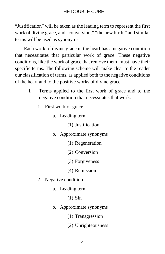"Justification" will be taken as the leading term to represent the first work of divine grace, and "conversion," "the new birth," and similar terms will be used as synonyms.

Each work of divine grace in the heart has a negative condition that necessitates that particular work of grace. These negative conditions, like the work of grace that remove them, must have their specific terms. The following scheme will make clear to the reader our classification of terms, as applied both to the negative conditions of the heart and to the positive works of divine grace.

- I. Terms applied to the first work of grace and to the negative condition that necessitates that work.
	- 1. First work of grace
		- a. Leading term
			- (1) Justification
		- b. Approximate synonyms
			- (1) Regeneration
			- (2) Conversion
			- (3) Forgiveness
			- (4) Remission
	- 2. Negative condition
		- a. Leading term
			- (1) Sin
		- b. Approximate synonyms
			- (1) Transgression
			- (2) Unrighteousness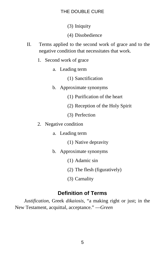(3) Iniquity

- (4) Disobedience
- II. Terms applied to the second work of grace and to the negative condition that necessitates that work.
	- 1. Second work of grace
		- a. Leading term
			- (1) Sanctification
		- b. Approximate synonyms
			- (1) Purification of the heart
			- (2) Reception of the Holy Spirit
			- (3) Perfection
	- 2. Negative condition
		- a. Leading term
			- (1) Native depravity
		- b. Approximate synonyms
			- (1) Adamic sin
			- (2) The flesh (figuratively)
			- (3) Carnality

#### **Definition of Terms**

*Justification*, Greek *dikaiosis*, "a making right or just; in the New Testament, acquittal, acceptance." —*Green*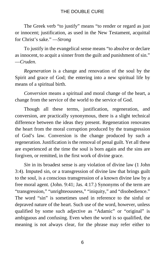The Greek verb "to justify" means "to render or regard as just or innocent; justification, as used in the New Testament, acquittal for Christ's sake." —*Strong*

To justify in the evangelical sense means "to absolve or declare as innocent, to acquit a sinner from the guilt and punishment of sin." —*Cruden*.

*Regeneration* is a change and renovation of the soul by the Spirit and grace of God; the entering into a new spiritual life by means of a spiritual birth.

*Conversion* means a spiritual and moral change of the heart, a change from the service of the world to the service of God.

Though all these terms, justification, regeneration, and conversion, are practically synonymous, there is a slight technical difference between the ideas they present. Regeneration renovates the heart from the moral corruption produced by the transgression of God's law. Conversion is the change produced by such a regeneration. Justification is the removal of penal guilt. Yet all these are experienced at the time the soul is born again and the sins are forgiven, or remitted, in the first work of divine grace.

*Sin* in its broadest sense is any violation of divine law (1 John 3:4). Imputed sin, or a transgression of divine law that brings guilt to the soul, is a conscious transgression of a known divine law by a free moral agent. (John. 9:41; Jas. 4:17.) Synonyms of the term are "transgression," "unrighteousness," "iniquity," and "disobedience." The word "sin" is sometimes used in reference to the sinful or depraved nature of the heart. Such use of the word, however, unless qualified by some such adjective as "Adamic" or "original" is ambiguous and confusing. Even when the word is so qualified, the meaning is not always clear, for the phrase may refer either to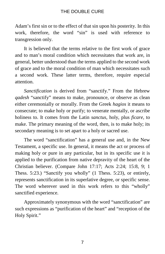Adam's first sin or to the effect of that sin upon his posterity. In this work, therefore, the word "sin" is used with reference to transgression only.

It is believed that the terms relative to the first work of grace and to man's moral condition which necessitates that work are, in general, better understood than the terms applied to the second work of grace and to the moral condition of man which necessitates such a second work. These latter terms, therefore, require especial attention.

*Sanctification* is derived from "sanctify." From the Hebrew *qadesh* "sanctify" means to make, pronounce, or observe as clean either ceremonially or morally. From the Greek *hagios* it means to consecrate; to make holy or purify; to venerate mentally, or ascribe holiness to. It comes from the Latin *sanctus*, holy, plus *ficare*, to make. The primary meaning of the word, then, is to make holy; its secondary meaning is to set apart to a holy or sacred use.

The word "sanctification" has a general use and, in the New Testament, a specific use. In general, it means the act or process of making holy or pure in any particular, but in its specific use it is applied to the purification from native depravity of the heart of the Christian believer. (Compare John 17:17; Acts 2:24; 15:8, 9; 1 Thess. 5:23.) "Sanctify you wholly" (1 Thess. 5:23), or entirely, represents sanctification in its superlative degree, or specific sense. The word wherever used in this work refers to this "wholly" sanctified experience.

Approximately synonymous with the word "sanctification" are such expressions as "purification of the heart" and "reception of the Holy Spirit."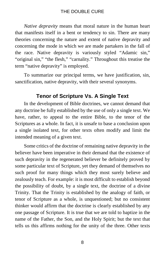*Native depravity* means that moral nature in the human heart that manifests itself in a bent or tendency to sin. There are many theories concerning the nature and extent of native depravity and concerning the mode in which we are made partakers in the fall of the race. Native depravity is variously styled "Adamic sin," "original sin," "the flesh," "carnality." Throughout this treatise the term "native depravity" is employed.

To summarize our principal terms, we have justification, sin, sanctification, native depravity, with their several synonyms.

#### **Tenor of Scripture Vs. A Single Text**

In the development of Bible doctrines, we cannot demand that any doctrine be fully established by the use of only a single text. We have, rather, to appeal to the entire Bible, to the tenor of the Scriptures as a whole. In fact, it is unsafe to base a conclusion upon a single isolated text, for other texts often modify and limit the intended meaning of a given text.

Some critics of the doctrine of remaining native depravity in the believer have been imperative in their demand that the existence of such depravity in the regenerated believer be definitely proved by some particular text of Scripture, yet they demand of themselves no such proof for many things which they most surely believe and zealously teach. For example: it is most difficult to establish beyond the possibility of doubt, by a single text, the doctrine of a divine Trinity. That the Trinity is established by the analogy of faith, or tenor of Scripture as a whole, is unquestioned; but no consistent thinker would affirm that the doctrine is clearly established by any one passage of Scripture. It is true that we are told to baptize in the name of the Father, the Son, and the Holy Spirit; but the text that tells us this affirms nothing for the unity of the three. Other texts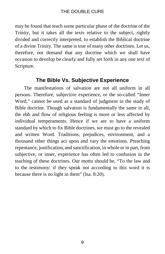may be found that teach some particular phase of the doctrine of the Trinity, but it takes all the texts relative to the subject, rightly divided and correctly interpreted, to establish the Biblical doctrine of a divine Trinity. The same is true of many other doctrines. Let us, therefore, not demand that any doctrine which we shall have occasion to develop be clearly and fully set forth in any one text of Scripture.

#### **The Bible Vs. Subjective Experience**

The manifestations of salvation are not all uniform in all persons. Therefore, subjective experience, or the so-called "Inner Word," cannot be used as a standard of judgment in the study of Bible doctrine. Though salvation is fundamentally the same in all, the ebb and flow of religious feeling is more or less affected by individual temperaments. Hence if we are to have a uniform standard by which to fix Bible doctrines, we must go to the revealed and written Word. Traditions, prejudices, environment, and a thousand other things act upon and vary the emotions. Preaching repentance, justification, and sanctification, in whole or in part, from subjective, or inner, experience has often led to confusion in the teaching of these doctrines. Our motto should be, "To the law and to the testimony: if they speak not according to this word it is because there is no light in them" (Isa. 8:20).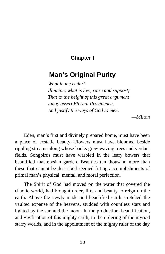#### **Chapter I**

#### <span id="page-17-0"></span>**Man's Original Purity**

*What in me is dark Illumine; what is low, raise and support; That to the height of this great argument I may assert Eternal Providence, And justify the ways of God to men.*

—*Milton*

Eden, man's first and divinely prepared home, must have been a place of ecstatic beauty. Flowers must have bloomed beside rippling streams along whose banks grew waving trees and verdant fields. Songbirds must have warbled in the leafy bowers that beautified that elysian garden. Beauties ten thousand more than these that cannot be described seemed fitting accomplishments of primal man's physical, mental, and moral perfection.

The Spirit of God had moved on the water that covered the chaotic world, had brought order, life, and beauty to reign on the earth. Above the newly made and beautified earth stretched the vaulted expanse of the heavens, studded with countless stars and lighted by the sun and the moon. In the production, beautification, and vivification of this mighty earth, in the ordering of the myriad starry worlds, and in the appointment of the mighty ruler of the day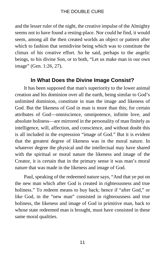and the lesser ruler of the night, the creative impulse of the Almighty seems not to have found a resting-place. Nor could he find, it would seem, among all the then created worlds an object or pattern after which to fashion that semidivine being which was to constitute the climax of his creative effort. So he said, perhaps to the angelic beings, to his divine Son, or to both, "Let us make man in our own image" (Gen. 1:26, 27).

#### **In What Does the Divine Image Consist?**

It has been supposed that man's superiority to the lower animal creation and his dominion over all the earth, being similar to God's unlimited dominion, constitute in man the image and likeness of God. But the likeness of God in man is more than this; for certain attributes of God—omniscience, omnipotence, infinite love, and absolute holiness—are mirrored in the personality of man finitely as intelligence, will, affection, and conscience, and without doubt this is all included in the expression "image of God." But it is evident that the greatest degree of likeness was in the moral nature. In whatever degree the physical and the intellectual may have shared with the spiritual or moral nature the likeness and image of the Creator, it is certain that in the primary sense it was man's moral nature that was made in the likeness and image of God.

Paul, speaking of the redeemed nature says, "And that ye put on the new man which after God is created in righteousness and true holiness." To redeem means to buy back; hence if "after God," or like God, in the "new man" consisted in righteousness and true holiness, the likeness and image of God in primitive man, back to whose state redeemed man is brought, must have consisted in these same moral qualities.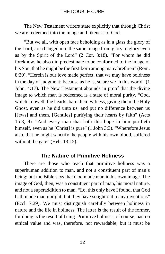The New Testament writers state explicitly that through Christ we are redeemed into the image and likeness of God.

"But we all, with open face beholding as in a glass the glory of the Lord, are changed into the same image from glory to glory even as by the Spirit of the Lord" (2 Cor. 3:18). "For whom he did foreknow, he also did predestinate to be conformed to the image of his Son, that he might be the first-born among many brethren" (Rom. 8:29). "Herein is our love made perfect, that we may have boldness in the day of judgment: because as he is, so are we in this world" (1 John. 4:17). The New Testament abounds in proof that the divine image to which man is redeemed is a state of moral purity. "God, which knoweth the hearts, bare them witness, giving them the Holy Ghost, even as he did unto us; and put no difference between us [Jews] and them, [Gentiles] purifying their hearts by faith" (Acts 15:8, 9). "And every man that hath this hope in him purifieth himself, even as he [Christ] is pure" (1 John 3:3). "Wherefore Jesus also, that he might sanctify the people with his own blood, suffered without the gate" (Heb. 13:12).

#### **The Nature of Primitive Holiness**

There are those who teach that primitive holiness was a superhuman addition to man, and not a constituent part of man's being; but the Bible says that God made man in his own image. The image of God, then, was a constituent part of man, his moral nature, and not a superaddition to man. "Lo, this only have I found, that God hath made man upright; but they have sought out many inventions" (Eccl. 7:29). We must distinguish carefully between holiness in nature and the life in holiness. The latter is the result of the former, for doing is the result of being. Primitive holiness, of course, had no ethical value and was, therefore, not rewardable; but it must be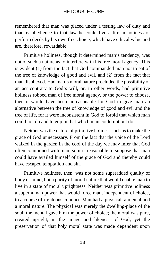remembered that man was placed under a testing law of duty and that by obedience to that law he could live a life in holiness or perform deeds by his own free choice, which have ethical value and are, therefore, rewardable.

Primitive holiness, though it determined man's tendency, was not of such a nature as to interfere with his free moral agency. This is evident (1) from the fact that God commanded man not to eat of the tree of knowledge of good and evil, and (2) from the fact that man disobeyed. Had man's moral nature precluded the possibility of an act contrary to God's will, or, in other words, had primitive holiness robbed man of free moral agency, or the power to choose, then it would have been unreasonable for God to give man an alternative between the tree of knowledge of good and evil and the tree of life, for it were inconsistent in God to forbid that which man could not do and to enjoin that which man could not but do.

Neither was the nature of primitive holiness such as to make the grace of God unnecessary. From the fact that the voice of the Lord walked in the garden in the cool of the day we may infer that God often communed with man; so it is reasonable to suppose that man could have availed himself of the grace of God and thereby could have escaped temptation and sin.

Primitive holiness, then, was not some superadded quality of body or mind, but a purity of moral nature that would enable man to live in a state of moral uprightness. Neither was primitive holiness a superhuman power that would force man, independent of choice, to a course of righteous conduct. Man had a physical, a mental and a moral nature. The physical was merely the dwelling-place of the soul; the mental gave him the power of choice; the moral was pure, created upright, in the image and likeness of God; yet the preservation of that holy moral state was made dependent upon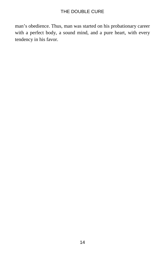man's obedience. Thus, man was started on his probationary career with a perfect body, a sound mind, and a pure heart, with every tendency in his favor.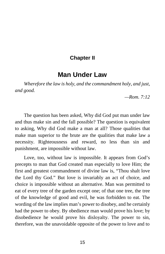#### **Chapter II**

#### **Man Under Law**

<span id="page-22-0"></span>*Wherefore the law is holy, and the commandment holy, and just, and good.*

*—Rom. 7:12*

The question has been asked, Why did God put man under law and thus make sin and the fall possible? The question is equivalent to asking, Why did God make a man at all? Those qualities that make man superior to the brute are the qualities that make law a necessity. Righteousness and reward, no less than sin and punishment, are impossible without law.

Love, too, without law is impossible. It appears from God's precepts to man that God created man especially to love Him; the first and greatest commandment of divine law is, "Thou shalt love the Lord thy God." But love is invariably an act of choice, and choice is impossible without an alternative. Man was permitted to eat of every tree of the garden except one; of that one tree, the tree of the knowledge of good and evil, he was forbidden to eat. The wording of the law implies man's power to disobey, and he certainly had the power to obey. By obedience man would prove his love; by disobedience he would prove his disloyalty. The power to sin, therefore, was the unavoidable opposite of the power to love and to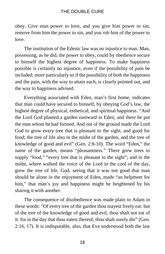obey. Give man power to love, and you give him power to sin; remove from him the power to sin, and you rob him of the power to love.

The institution of the Edenic law was no injustice to man. Man, possessing, as he did, the power to obey, could by obedience secure to himself the highest degree of happiness. To make happiness possible is certainly no injustice, even if the possibility of pain be included; more particularly so if the possibility of both the happiness and the pain, with the way to attain each, is clearly pointed out, and the way to happiness advised.

Everything associated with Eden, man's first home, indicates that man could have secured to himself, by obeying God's law, the highest degree of physical, esthetical, and spiritual happiness. "And the Lord God planted a garden eastward in Eden; and there he put the man whom he had formed. And out of the ground made the Lord God to grow every tree that is pleasant to the sight, and good for food; the tree of life also in the midst of the garden, and the tree of knowledge of good and evil" (Gen. 2:8-10). The word "Eden," the name of the garden, means "pleasantness." There grew trees to supply "food," "every tree that is pleasant to the sight"; and in the midst, where walked the voice of the Lord in the cool of the day, grew the tree of life. God, seeing that it was not good that man should be alone in the enjoyment of Eden, made "an helpmeet for him," that man's joy and happiness might he heightened by his sharing it with another.

The consequence of disobedience was made plain to Adam in these words: "Of every tree of the garden thou mayest freely eat: but of the tree of the knowledge of good and evil, thou shalt not eat of it: for in the day that thou eatest thereof, thou shalt surely die" (Gen. 2:16, 17). It is indisputable, also, that Eve understood both the law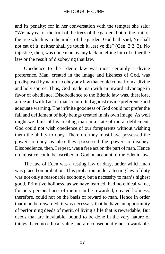and its penalty; for in her conversation with the tempter she said: "We may eat of the fruit of the trees of the garden: but of the fruit of the tree which is in the midst of the garden, God hath said, Ye shall not eat of it, neither shall ye touch it, lest ye die" (Gen. 3:2, 3). No injustice, then, was done man by any lack in telling him of either the law or the result of disobeying that law.

Obedience to the Edenic law was most certainly a divine preference. Man, created in the image and likeness of God, was predisposed by nature to obey any law that could come from a divine and holy source. Thus, God made man with an inward advantage in favor of obedience. Disobedience to the Edenic law was, therefore, a free and wilful act of man committed against divine preference and adequate warning. The infinite goodness of God could not prefer the fall and defilement of holy beings created in his own image. As well might we think of his creating man in a state of moral defilement. God could not wish obedience of our foreparents without wishing them the ability to obey. Therefore they must have possessed the power to obey as also they possessed the power to disobey. Disobedience, then, I repeat, was a free act on the part of man. Hence no injustice could be ascribed to God on account of the Edenic law.

The law of Eden was a testing law of duty, under which man was placed on probation. This probation under a testing law of duty was not only a reasonable economy, but a necessity to man's highest good. Primitive holiness, as we have learned, had no ethical value, for only personal acts of merit can be rewarded; created holiness, therefore, could not be the basis of reward to man. Hence in order that man be rewarded, it was necessary that he have an opportunity of performing deeds of merit, of living a life that is rewardable. But deeds that are inevitable, bound to be done in the very nature of things, have no ethical value and are consequently not rewardable.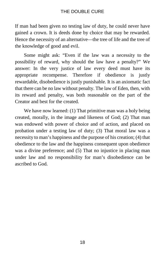If man had been given no testing law of duty, he could never have gained a crown. It is deeds done by choice that may be rewarded. Hence the necessity of an alternative—the tree of life and the tree of the knowledge of good and evil.

Some might ask: "Even if the law was a necessity to the possibility of reward, why should the law have a penalty?" We answer: In the very justice of law every deed must have its appropriate recompense. Therefore if obedience is justly rewardable, disobedience is justly punishable. It is an axiomatic fact that there can be no law without penalty. The law of Eden, then, with its reward and penalty, was both reasonable on the part of the Creator and best for the created.

We have now learned: (1) That primitive man was a holy being created, morally, in the image and likeness of God; (2) That man was endowed with power of choice and of action, and placed on probation under a testing law of duty; (3) That moral law was a necessity to man's happiness and the purpose of his creation; (4) that obedience to the law and the happiness consequent upon obedience was a divine preference; and (5) That no injustice in placing man under law and no responsibility for man's disobedience can be ascribed to God.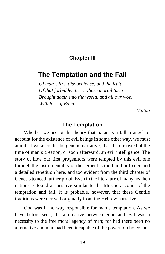#### **Chapter III**

#### <span id="page-26-0"></span>**The Temptation and the Fall**

*Of man's first disobedience, and the fruit Of that forbidden tree, whose mortal taste Brought death into the world, and all our woe, With loss of Eden.*

*—Milton*

#### **The Temptation**

Whether we accept the theory that Satan is a fallen angel or account for the existence of evil beings in some other way, we must admit, if we accredit the genetic narrative, that there existed at the time of man's creation, or soon afterward, an evil intelligence. The story of how our first progenitors were tempted by this evil one through the instrumentality of the serpent is too familiar to demand a detailed repetition here, and too evident from the third chapter of Genesis to need further proof. Even in the literature of many heathen nations is found a narrative similar to the Mosaic account of the temptation and fall. It is probable, however, that these Gentile traditions were derived originally from the Hebrew narrative.

God was in no way responsible for man's temptation. As we have before seen, the alternative between good and evil was a necessity to the free moral agency of man; for had there been no alternative and man had been incapable of the power of choice, he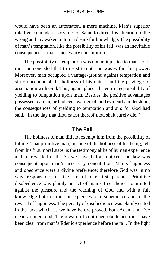would have been an automaton, a mere machine. Man's superior intelligence made it possible for Satan to direct his attention to the wrong and to awaken in him a desire for knowledge. The possibility of man's temptation, like the possibility of his fall, was an inevitable consequence of man's necessary constitution.

The possibility of temptation was not an injustice to man, for it must be conceded that to resist temptation was within his power. Moreover, man occupied a vantage-ground against temptation and sin on account of the holiness of his nature and the privilege of association with God. This, again, places the entire responsibility of yielding to temptation upon man. Besides the positive advantages possessed by man, he had been warned of, and evidently understood, the consequences of yielding to temptation and sin; for God had said, "In the day that thou eatest thereof thou shalt surely die."

#### **The Fall**

The holiness of man did not exempt him from the possibility of falling. That primitive man, in spite of the holiness of his being, fell from his first moral state, is the testimony alike of human experience and of revealed truth. As we have before noticed, the law was consequent upon man's necessary constitution. Man's happiness and obedience were a divine preference; therefore God was in no way responsible for the sin of our first parents. Primitive disobedience was plainly an act of man's free choice committed against the pleasure and the warning of God and with a full knowledge both of the consequences of disobedience and of the reward of happiness. The penalty of disobedience was plainly stated in the law, which, as we have before proved, both Adam and Eve clearly understood. The reward of continued obedience must have been clear from man's Edenic experience before the fall. In the light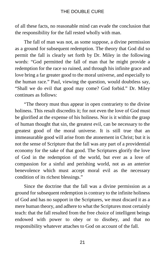of all these facts, no reasonable mind can evade the conclusion that the responsibility for the fall rested wholly with man.

The fall of man was not, as some suppose, a divine permission as a ground for subsequent redemption. The theory that God did so permit the fall is clearly set forth by Dr. Miley in the following words: "God permitted the fall of man that he might provide a redemption for the race so ruined, and through his infinite grace and love bring a far greater good to the moral universe, and especially to the human race." Paul, viewing the question, would doubtless say, "Shall we do evil that good may come? God forbid." Dr. Miley continues as follows:

"The theory must thus appear in open contrariety to the divine holiness. This result discredits it; for not even the love of God must be glorified at the expense of his holiness. Nor is it within the grasp of human thought that sin, the greatest evil, can be necessary to the greatest good of the moral universe. It is still true that an immeasurable good will arise from the atonement in Christ; but it is not the sense of Scripture that the fall was any part of a providential economy for the sake of that good. The Scriptures glorify the love of God in the redemption of the world, but ever as a love of compassion for a sinful and perishing world, not as an anterior benevolence which must accept moral evil as the necessary condition of its richest blessings."

Since the doctrine that the fall was a divine permission as a ground for subsequent redemption is contrary to the infinite holiness of God and has no support in the Scriptures, we must discard it as a mere human theory, and adhere to what the Scriptures most certainly teach: that the fall resulted from the free choice of intelligent beings endowed with power to obey or to disobey, and that no responsibility whatever attaches to God on account of the fall.

21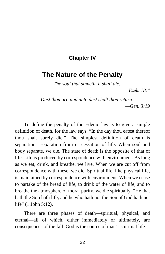#### **Chapter IV**

#### <span id="page-29-0"></span>**The Nature of the Penalty**

*The soul that sinneth, it shall die.*

*—Ezek. 18:4*

*Dust thou art, and unto dust shalt thou return. —Gen. 3:19*

To define the penalty of the Edenic law is to give a simple definition of death, for the law says, "In the day thou eatest thereof thou shalt surely die." The simplest definition of death is separation—separation from or cessation of life. When soul and body separate, we die. The state of death is the opposite of that of life. Life is produced by correspondence with environment. As long as we eat, drink, and breathe, we live. When we are cut off from correspondence with these, we die. Spiritual life, like physical life, is maintained by correspondence with environment. When we cease to partake of the bread of life, to drink of the water of life, and to breathe the atmosphere of moral purity, we die spiritually. "He that hath the Son hath life; and he who hath not the Son of God hath not life" (1 John 5:12).

There are three phases of death—spiritual, physical, and eternal—all of which, either immediately or ultimately, are consequences of the fall. God is the source of man's spiritual life.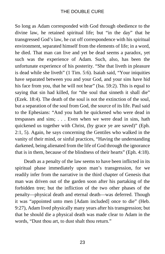So long as Adam corresponded with God through obedience to the divine law, he retained spiritual life; but "in the day" that he transgressed God's law, he cut off correspondence with his spiritual environment, separated himself from the elements of life; in a word, he died. That man can live and yet be dead seems a paradox, yet such was the experience of Adam. Such, also, has been the unfortunate experience of his posterity. "She that liveth in pleasure is dead while she liveth" (1 Tim. 5:6). Isaiah said, "Your iniquities have separated between you and your God, and your sins have hid his face from you, that he will not hear" (Isa. 59:2). This is equal to saying that sin had killed, for "the soul that sinneth it shall die" (Ezek. 18:4). The death of the soul is not the extinction of the soul, but a separation of the soul from God, the source of its life. Paul said to the Ephesians: "And you hath he quickened who were dead in trespasses and sins; . . . Even when we were dead in sins, hath quickened us together with Christ, (by grace ye are saved)" (Eph. 2:1, 5). Again, he says concerning the Gentiles who walked in the vanity of their mind, or sinful practices, "Having the understanding darkened, being alienated from the life of God through the ignorance that is in them, because of the blindness of their hearts" (Eph. 4:18).

Death as a penalty of the law seems to have been inflicted in its spiritual phase immediately upon man's transgression, for we readily infer from the narrative in the third chapter of Genesis that man was driven out of the garden soon after his partaking of the forbidden tree; but the infliction of the two other phases of the penalty—physical death and eternal death—was deferred. Though it was "appointed unto men [Adam included] once to die" (Heb. 9:27), Adam lived physically many years after his transgression; but that he should die a physical death was made clear to Adam in the words, "Dust thou art, to dust shalt thou return."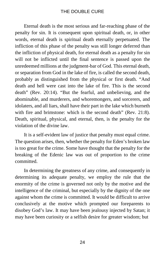Eternal death is the most serious and far-reaching phase of the penalty for sin. It is consequent upon spiritual death, or, in other words, eternal death is spiritual death eternally perpetuated. The infliction of this phase of the penalty was still longer deferred than the infliction of physical death, for eternal death as a penalty for sin will not be inflicted until the final sentence is passed upon the unredeemed millions at the judgment-bar of God. This eternal death, or separation from God in the lake of fire, is called the second death, probably as distinguished from the physical or first death. "And death and hell were cast into the lake of fire. This is the second death" (Rev. 20:14). "But the fearful, and unbelieving, and the abominable, and murderers, and whoremongers, and sorcerers, and idolaters, and all liars, shall have their part in the lake which burneth with fire and brimstone: which is the second death" (Rev. 21:8). Death, spiritual, physical, and eternal, then, is the penalty for the violation of the divine law.

It is a self-evident law of justice that penalty must equal crime. The question arises, then, whether the penalty for Eden's broken law is too great for the crime. Some have thought that the penalty for the breaking of the Edenic law was out of proportion to the crime committed.

In determining the greatness of any crime, and consequently in determining its adequate penalty, we employ the rule that the enormity of the crime is governed not only by the motive and the intelligence of the criminal, but especially by the dignity of the one against whom the crime is committed. It would be difficult to arrive conclusively at the motive which prompted our foreparents to disobey God's law. It may have been jealousy injected by Satan; it may have been curiosity or a selfish desire for greater wisdom; but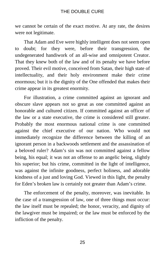we cannot be certain of the exact motive. At any rate, the desires were not legitimate.

That Adam and Eve were highly intelligent does not seem open to doubt; for they were, before their transgression, the undegenerated handiwork of an all-wise and omnipotent Creator. That they knew both of the law and of its penalty we have before proved. Their evil motive, conceived from Satan, their high state of intellectuality, and their holy environment make their crime enormous; but it is the dignity of the One offended that makes their crime appear in its greatest enormity.

For illustration, a crime committed against an ignorant and obscure slave appears not so great as one committed against an honorable and cultured citizen. If committed against an officer of the law or a state executive, the crime is considered still greater. Probably the most enormous national crime is one committed against the chief executive of our nation. Who would not immediately recognize the difference between the killing of an ignorant person in a backwoods settlement and the assassination of a beloved ruler? Adam's sin was not committed against a fellow being, his equal; it was not an offense to an angelic being, slightly his superior; but his crime, committed in the light of intelligence, was against the infinite goodness, perfect holiness, and adorable kindness of a just and loving God. Viewed in this light, the penalty for Eden's broken law is certainly not greater than Adam's crime.

The enforcement of the penalty, moreover, was inevitable. In the case of a transgression of law, one of three things must occur: the law itself must be repealed; the honor, veracity, and dignity of the lawgiver must be impaired; or the law must be enforced by the infliction of the penalty.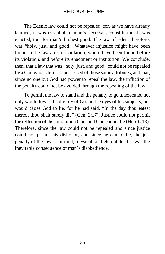The Edenic law could not be repealed; for, as we have already learned, it was essential to man's necessary constitution. It was enacted, too, for man's highest good. The law of Eden, therefore, was "holy, just, and good." Whatever injustice might have been found in the law after its violation, would have been found before its violation, and before its enactment or institution. We conclude, then, that a law that was "holy, just, and good" could not be repealed by a God who is himself possessed of those same attributes, and that, since no one but God had power to repeal the law, the infliction of the penalty could not be avoided through the repealing of the law.

To permit the law to stand and the penalty to go unexecuted not only would lower the dignity of God in the eyes of his subjects, but would cause God to lie, for he had said, "In the day thou eatest thereof thou shalt surely die" (Gen. 2:17). Justice could not permit the reflection of dishonor upon God, and God cannot lie (Heb. 6:18). Therefore, since the law could not be repealed and since justice could not permit his dishonor, and since he cannot lie, the just penalty of the law—spiritual, physical, and eternal death—was the inevitable consequence of man's disobedience.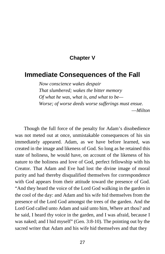#### **Chapter V**

#### <span id="page-34-0"></span>**Immediate Consequences of the Fall**

*Now conscience wakes despair That slumbered; wakes the bitter memory Of what he was, what is, and what to be— Worse; of worse deeds worse sufferings must ensue.* —*Milton*

Though the full force of the penalty for Adam's disobedience was not meted out at once, unmistakable consequences of his sin immediately appeared. Adam, as we have before learned, was created in the image and likeness of God. So long as he retained this state of holiness, he would have, on account of the likeness of his nature to the holiness and love of God, perfect fellowship with his Creator. That Adam and Eve had lost the divine image of moral purity and had thereby disqualified themselves for correspondence with God appears from their attitude toward the presence of God. "And they heard the voice of the Lord God walking in the garden in the cool of the day: and Adam and his wife hid themselves from the presence of the Lord God amongst the trees of the garden. And the Lord God called unto Adam and said unto him, Where art thou? and he said, I heard thy voice in the garden, and I was afraid, because I was naked; and I hid myself" (Gen. 3:8-10). The pointing out by the sacred writer that Adam and his wife hid themselves and that they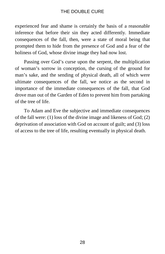experienced fear and shame is certainly the basis of a reasonable inference that before their sin they acted differently. Immediate consequences of the fall, then, were a state of moral being that prompted them to hide from the presence of God and a fear of the holiness of God, whose divine image they had now lost.

Passing over God's curse upon the serpent, the multiplication of woman's sorrow in conception, the cursing of the ground for man's sake, and the sending of physical death, all of which were ultimate consequences of the fall, we notice as the second in importance of the immediate consequences of the fall, that God drove man out of the Garden of Eden to prevent him from partaking of the tree of life.

To Adam and Eve the subjective and immediate consequences of the fall were: (1) loss of the divine image and likeness of God; (2) deprivation of association with God on account of guilt; and (3) loss of access to the tree of life, resulting eventually in physical death.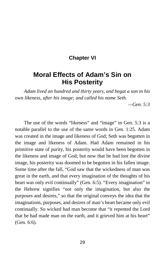### **Chapter VI**

# **Moral Effects of Adam's Sin on His Posterity**

*Adam lived an hundred and thirty years, and begat a son in his own likeness, after his image; and called his name Seth.*

*—Gen. 5:3*

The use of the words "likeness" and "image" in Gen. 5:3 is a notable parallel to the use of the same words in Gen. 1:25. Adam was created in the image and likeness of God; Seth was begotten in the image and likeness of Adam. Had Adam remained in his primitive state of purity, his posterity would have been begotten in the likeness and image of God; but now that he had lost the divine image, his posterity was doomed to be begotten in his fallen image. Some time after the fall, "God saw that the wickedness of man was great in the earth, and that every imagination of the thoughts of his heart was only evil continually" (Gen. 6:5). "Every imagination" in the Hebrew signifies "not only the imagination, but also the purposes and desires," so that the original conveys the idea that the imaginations, purposes, and desires of man's heart became only evil continually. So wicked had man become that "it repented the Lord that he had made man on the earth, and it grieved him at his heart" (Gen. 6:6).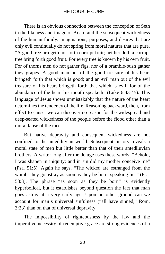There is an obvious connection between the conception of Seth in the likeness and image of Adam and the subsequent wickedness of the human family. Imaginations, purposes, and desires that are only evil continually do not spring from moral natures that are pure. "A good tree bringeth not forth corrupt fruit; neither doth a corrupt tree bring forth good fruit. For every tree is known by his own fruit. For of thorns men do not gather figs, nor of a bramble-bush gather they grapes. A good man out of the good treasure of his heart bringeth forth that which is good; and an evil man out of the evil treasure of his heart bringeth forth that which is evil: for of the abundance of the heart his mouth speaketh" (Luke 6:43-45). This language of Jesus shows unmistakably that the nature of the heart determines the tendency of the life. Reasoning backward, then, from effect to cause, we can discover no reason for the widespread and deep-seated wickedness of the people before the flood other than a moral lapse of the race.

But native depravity and consequent wickedness are not confined to the antediluvian world. Subsequent history reveals a moral state of men but little better than that of their antediluvian brothers. A writer long after the deluge uses these words: "Behold, I was shapen in iniquity; and in sin did my mother conceive me" (Psa. 51:5). Again he says, "The wicked are estranged from the womb: they go astray as soon as they be born, speaking lies" (Psa. 58:3). The phrase "as soon as they be born" is evidently hyperbolical, but it establishes beyond question the fact that man goes astray at a very early age. Upon no other ground can we account for man's universal sinfulness ("all have sinned," Rom. 3:23) than on that of universal depravity.

The impossibility of righteousness by the law and the imperative necessity of redemptive grace are strong evidences of a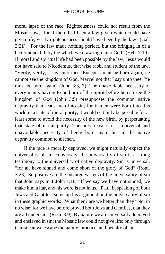moral lapse of the race. Righteousness could not result from the Mosaic law; "for if there had been a law given which could have given life, verily righteousness should have been by the law" (Gal. 3:21). "For the law made nothing perfect, but the bringing in of a better hope did; by the which we draw nigh unto God" (Heb. 7:19). If moral and spiritual life had been possible by the law, Jesus would not have said to Nicodemus, that wise rabbi and student of the law, "Verily, verily, I say unto thee, Except a man be born again, he cannot see the kingdom of God. Marvel not that I say unto thee, Ye must be born again" (John 3:3, 7). The unavoidable necessity of every man's having to be born of the Spirit before he can see the kingdom of God (John 3:5) presupposes the common native depravity that leads man into sin; for if men were born into this world in a state of moral purity, it would certainly be possible for at least some to avoid the necessity of the new birth, by perpetuating that state of moral purity. The only reason for a universal and unavoidable necessity of being born again lies in the native depravity common to all men.

If the race is morally depraved, we might naturally expect the universality of sin; conversely, the universality of sin is a strong testimony to the universality of native depravity. Sin is universal, "for all have sinned and come short of the glory of God" (Rom. 3:23). So positive are the inspired writers of the universality of sin that John says in 1 John 1:10, "If we say we have not sinned, we make him a liar, and his word is not in us." Paul, in speaking of both Jews and Gentiles, sums up his argument on the universality of sin in these graphic words: "What then? are we better than they? No, in no wise: for we have before proved both Jews and Gentiles, that they are all under sin" (Rom. 3:9). By nature we are universally depraved and enslaved in sin; the Mosaic law could not give life; only through Christ can we escape the nature, practice, and penalty of sin.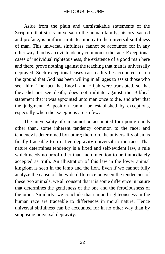Aside from the plain and unmistakable statements of the Scripture that sin is universal to the human family, history, sacred and profane, is uniform in its testimony to the universal sinfulness of man. This universal sinfulness cannot be accounted for in any other way than by an evil tendency common to the race. Exceptional cases of individual righteousness, the existence of a good man here and there, prove nothing against the teaching that man is universally depraved. Such exceptional cases can readily be accounted for on the ground that God has been willing in all ages to assist those who seek him. The fact that Enoch and Elijah were translated, so that they did not see death, does not militate against the Biblical statement that it was appointed unto man once to die, and after that the judgment. A position cannot be established by exceptions, especially when the exceptions are so few.

The universality of sin cannot be accounted for upon grounds other than, some inherent tendency common to the race; and tendency is determined by nature; therefore the universality of sin is finally traceable to a native depravity universal to the race. That nature determines tendency is a fixed and self-evident law, a rule which needs no proof other than mere mention to be immediately accepted as truth. An illustration of this law in the lower animal kingdom is seen in the lamb and the lion. Even if we cannot fully analyze the cause of the wide difference between the tendencies of these two animals, we all consent that it is some difference in nature that determines the gentleness of the one and the ferociousness of the other. Similarly, we conclude that sin and righteousness in the human race are traceable to differences in moral nature. Hence universal sinfulness can be accounted for in no other way than by supposing universal depravity.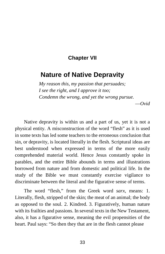#### **Chapter VII**

## **Nature of Native Depravity**

*My reason this, my passion that persuades; I see the right, and I approve it too; Condemn the wrong, and yet the wrong pursue.*

—*Ovid*

Native depravity is within us and a part of us, yet it is not a physical entity. A misconstruction of the word "flesh" as it is used in some texts has led some teachers to the erroneous conclusion that sin, or depravity, is located literally in the flesh. Scriptural ideas are best understood when expressed in terms of the more easily comprehended material world. Hence Jesus constantly spoke in parables, and the entire Bible abounds in terms and illustrations borrowed from nature and from domestic and political life. In the study of the Bible we must constantly exercise vigilance to discriminate between the literal and the figurative sense of terms.

The word "flesh," from the Greek word *sarx*, means: 1. Literally, flesh, stripped of the skin; the meat of an animal; the body as opposed to the soul. 2. Kindred. 3. Figuratively, human nature with its frailties and passions. In several texts in the New Testament, also, it has a figurative sense, meaning the evil propensities of the heart. Paul says: "So then they that are in the flesh cannot please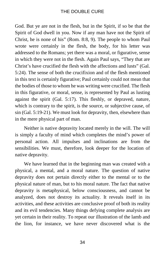God. But ye are not in the flesh, but in the Spirit, if so be that the Spirit of God dwell in you. Now if any man have not the Spirit of Christ, he is none of his" (Rom. 8:8, 9). The people to whom Paul wrote were certainly in the flesh, the body, for his letter was addressed to the Romans; yet there was a moral, or figurative, sense in which they were not in the flesh. Again Paul says, "They that are Christ's have crucified the flesh with the affections and lusts" (Gal. 5:24). The sense of both the crucifixion and of the flesh mentioned in this text is certainly figurative; Paul certainly could not mean that the bodies of those to whom he was writing were crucified. The flesh in this figurative, or moral, sense, is represented by Paul as lusting against the spirit (Gal. 5:17). This fleshly, or depraved, nature, which is contrary to the spirit, is the source, or subjective cause, of sin (Gal. 5:19-21). We must look for depravity, then, elsewhere than in the mere physical part of man.

Neither is native depravity located merely in the will. The will is simply a faculty of mind which completes the mind's power of personal action. All impulses and inclinations are from the sensibilities. We must, therefore, look deeper for the location of native depravity.

We have learned that in the beginning man was created with a physical, a mental, and a moral nature. The question of native depravity does not pertain directly either to the mental or to the physical nature of man, but to his moral nature. The fact that native depravity is metaphysical, below consciousness, and cannot be analyzed, does not destroy its actuality. It reveals itself in its activities, and these activities are conclusive proof of both its reality and its evil tendencies. Many things defying complete analysis are yet certain in their reality. To repeat our illustration of the lamb and the lion, for instance, we have never discovered what is the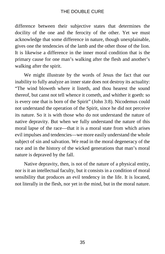difference between their subjective states that determines the docility of the one and the ferocity of the other. Yet we must acknowledge that some difference in nature, though unexplainable, gives one the tendencies of the lamb and the other those of the lion. It is likewise a difference in the inner moral condition that is the primary cause for one man's walking after the flesh and another's walking after the spirit.

We might illustrate by the words of Jesus the fact that our inability to fully analyze an inner state does not destroy its actuality: "The wind bloweth where it listeth, and thou hearest the sound thereof, but canst not tell whence it cometh, and whither it goeth: so is every one that is born of the Spirit" (John 3:8). Nicodemus could not understand the operation of the Spirit, since he did not perceive its nature. So it is with those who do not understand the nature of native depravity. But when we fully understand the nature of this moral lapse of the race—that it is a moral state from which arises evil impulses and tendencies—we more easily understand the whole subject of sin and salvation. We read in the moral degeneracy of the race and in the history of the wicked generations that man's moral nature is depraved by the fall.

Native depravity, then, is not of the nature of a physical entity, nor is it an intellectual faculty, but it consists in a condition of moral sensibility that produces an evil tendency in the life. It is located, not literally in the flesh, nor yet in the mind, but in the moral nature.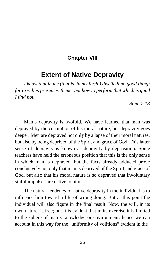#### **Chapter VIII**

## **Extent of Native Depravity**

*I know that in me (that is, in my flesh,) dwelleth no good thing: for to will is present with me; but how to perform that which is good I find not.*

*—Rom. 7:18*

Man's depravity is twofold. We have learned that man was depraved by the corruption of his moral nature, but depravity goes deeper. Men are depraved not only by a lapse of their moral natures, but also by being deprived of the Spirit and grace of God. This latter sense of depravity is known as depravity by deprivation. Some teachers have held the erroneous position that this is the only sense in which man is depraved, but the facts already adduced prove conclusively not only that man is deprived of the Spirit and grace of God, but also that his moral nature is so depraved that involuntary sinful impulses are native to him.

The natural tendency of native depravity in the individual is to influence him toward a life of wrong-doing. But at this point the individual will also figure in the final result. Now, the will, in its own nature, is free; but it is evident that in its exercise it is limited to the sphere of man's knowledge or environment; hence we can account in this way for the "uniformity of volitions" evident in the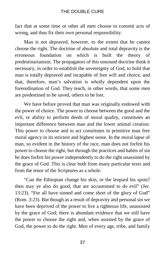fact that at some time or other all men choose to commit acts of wrong, and thus fix their own personal responsibility.

Man is not depraved, however, to the extent that he cannot choose the right. The doctrine of absolute and total depravity is the erroneous foundation on which is built the theory of predestinarianism. The propagators of this unsound doctrine think it necessary, in order to establish the sovereignty of God, to hold that man is totally depraved and incapable of free will and choice, and that, therefore, man's salvation is wholly dependent upon the foreordination of God. They teach, in other words, that some men are predestined to be saved, others to be lost.

We have before proved that man was originally endowed with the power of choice. The power to choose between the good and the evil, or ability to perform deeds of moral quality, constitutes an important difference between man and the lower animal creation. This power to choose and to act constitutes in primitive man free moral agency in its strictest and highest sense. In the moral lapse of man, so evident in the history of the race, man does not forfeit his power to choose the right, but through the practices and habits of sin he does forfeit his power independently to do the right unassisted by the grace of God. This is clear both from many particular texts and from the tenor of the Scriptures as a whole.

"Can the Ethiopian change his skin, or the leopard his spots? then may ye also do good, that are accustomed to do evil" (Jer. 13:23). "For all have sinned and come short of the glory of God" (Rom. 3:23). But though as a result of depravity and personal sin we have been deprived of the power to live a righteous life, unassisted by the grace of God; there is abundant evidence that we still have the power to choose the right and, when assisted by the grace of God, the power to do the right. Men of every age, tribe, and family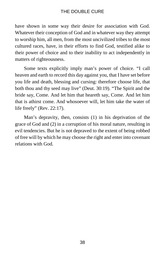have shown in some way their desire for association with God. Whatever their conception of God and in whatever way they attempt to worship him, all men, from the most uncivilized tribes to the most cultured races, have, in their efforts to find God, testified alike to their power of choice and to their inability to act independently in matters of righteousness.

Some texts explicitly imply man's power of choice. "I call heaven and earth to record this day against you, that I have set before you life and death, blessing and cursing: therefore choose life, that both thou and thy seed may live" (Deut. 30:19). "The Spirit and the bride say, Come. And let him that heareth say, Come. And let him that is athirst come. And whosoever will, let him take the water of life freely" (Rev. 22:17).

Man's depravity, then, consists (1) in his deprivation of the grace of God and (2) in a corruption of his moral nature, resulting in evil tendencies. But he is not depraved to the extent of being robbed of free will by which he may choose the right and enter into covenant relations with God.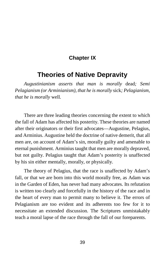### **Chapter IX**

## **Theories of Native Depravity**

*Augustinianism asserts that man is morally* dead*; Semi Pelagianism (or Arminianism), that he is morally* sick*; Pelagianism, that he is morally* well*.*

There are three leading theories concerning the extent to which the fall of Adam has affected his posterity. These theories are named after their originators or their first advocates—Augustine, Pelagius, and Arminius. Augustine held the doctrine of native demerit, that all men are, on account of Adam's sin, morally guilty and amenable to eternal punishment. Arminius taught that men are morally depraved, but not guilty. Pelagius taught that Adam's posterity is unaffected by his sin either mentally, morally, or physically.

The theory of Pelagius, that the race is unaffected by Adam's fall, or that we are born into this world morally free, as Adam was in the Garden of Eden, has never had many advocates. Its refutation is written too clearly and forcefully in the history of the race and in the heart of every man to permit many to believe it. The errors of Pelagianism are too evident and its adherents too few for it to necessitate an extended discussion. The Scriptures unmistakably teach a moral lapse of the race through the fall of our foreparents.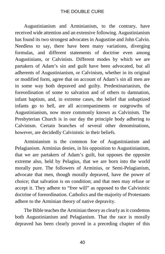Augustinianism and Arminianism, to the contrary, have received wide attention and an extensive following. Augustinianism has found its two strongest advocates in Augustine and John Calvin. Needless to say, there have been many variations, diverging formulas, and different statements of doctrine even among Augustinians, or Calvinists. Different modes by which we are partakers of Adam's sin and guilt have been advocated, but all adherents of Augustinianism, or Calvinism, whether in its original or modified form, agree that on account of Adam's sin all men are in some way both depraved and guilty. Predestinarianism, the foreordination of some to salvation and of others to damnation, infant baptism, and, in extreme cases, the belief that unbaptized infants go to hell, are all accompaniments or outgrowths of Augustinianism, now more commonly known as Calvinism. The Presbyterian Church is in our day the principle body adhering to Calvinism. Certain branches of several other denominations, however, are decidedly Calvinistic in their beliefs.

Arminianism is the common foe of Augustinianism and Pelagianism. Arminius denies, in his opposition to Augustinianism, that we are partakers of Adam's guilt, but opposes the opposite extreme also, held by Pelagius, that we are born into the world morally pure. The followers of Arminius, or Semi-Pelagianism, advocate that men, though morally depraved, have the power of choice; that salvation is on condition; and that men may refuse or accept it. They adhere to "free will" as opposed to the Calvinistic doctrine of foreordination. Catholics and the majority of Protestants adhere to the Arminian theory of native depravity.

The Bible teaches the Arminian theory as clearly as it condemns both Augustinianism and Pelagianism. That the race is morally depraved has been clearly proved in a preceding chapter of this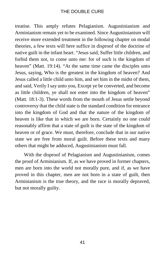treatise. This amply refutes Pelagianism. Augustinianism and Arminianism remain yet to be examined. Since Augustinianism will receive more extended treatment in the following chapter on modal theories, a few texts will here suffice in disproof of the doctrine of native guilt in the infant heart. "Jesus said, Suffer little children, and forbid them not, to come unto me: for of such is the kingdom of heaven" (Matt. 19:14). "At the same time came the disciples unto Jesus, saying, Who is the greatest in the kingdom of heaven? And Jesus called a little child unto him, and set him in the midst of them, and said, Verily I say unto you, Except ye be converted, and become as little children, ye shall not enter into the kingdom of heaven" (Matt. 18:1-3). These words from the mouth of Jesus settle beyond controversy that the child state is the standard condition for entrance into the kingdom of God and that the nature of the kingdom of heaven is like that in which we are born. Certainly no one could reasonably affirm that a state of guilt is the state of the kingdom of heaven or of grace. We must, therefore, conclude that in our native state we are free from moral guilt. Before these texts and many others that might be adduced, Augustinianism must fall.

With the disproof of Pelagianism and Augustinianism, comes the proof of Arminianism. If, as we have proved in former chapters, men are born into the world not morally pure, and if, as we have proved in this chapter, men are not born in a state of guilt, then Arminianism is the true theory, and the race is morally depraved, but not morally guilty.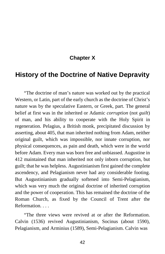## **Chapter X**

## **History of the Doctrine of Native Depravity**

"The doctrine of man's nature was worked out by the practical Western, or Latin, part of the early church as the doctrine of Christ's nature was by the speculative Eastern, or Greek, part. The general belief at first was in the inherited or Adamic *corruption* (not *guilt*) of man, and his ability to cooperate with the Holy Spirit in regeneration. Pelagius, a British monk, precipitated discussion by asserting, about 405, that man inherited nothing from Adam, neither original guilt, which was impossible, nor innate corruption, nor physical consequences, as pain and death, which were in the world before Adam. Every man was born free and unbiassed. Augustine in 412 maintained that man inherited not only inborn corruption, but guilt; that he was helpless. Augustinianism first gained the complete ascendency, and Pelagianism never had any considerable footing. But Augustinianism gradually softened into Semi-Pelagianism, which was very much the original doctrine of inherited corruption and the power of cooperation. This has remained the doctrine of the Roman Church, as fixed by the Council of Trent after the Reformation.

"The three views were revived at or after the Reformation. Calvin (1536) revived Augustinianism, Socinus (about 1590), Pelagianism, and Arminius (1589), Semi-Pelagianism. Calvin was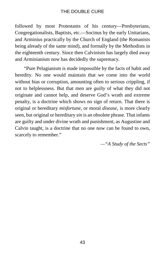followed by most Protestants of his century—Presbyterians, Congregationalists, Baptists, etc.—Socinus by the early Unitarians, and Arminius practically by the Church of England (the Romanists being already of the same mind), and formally by the Methodists in the eighteenth century. Since then Calvinism has largely died away and Arminianism now has decidedly the supremacy.

"Pure Pelagianism is made impossible by the facts of habit and heredity. No one would maintain that we come into the world without bias or corruption, amounting often to serious crippling, if not to helplessness. But that men are *guilty* of what they did not originate and cannot help, and deserve God's wrath and extreme penalty, is a doctrine which shows no sign of return. That there is original or hereditary *misfortune*, or moral *disease*, is more clearly seen, but original or hereditary *sin* is an obsolete phrase. That infants are guilty and under divine wrath and punishment, as Augustine and Calvin taught, is a doctrine that no one now can be found to own, scarcely to remember."

*—"A Study of the Sects"*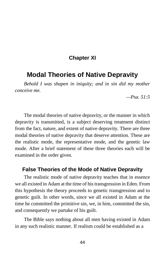### **Chapter XI**

## **Modal Theories of Native Depravity**

*Behold I was shapen in iniquity; and in sin did my mother conceive me.*

*—Psa. 51:5*

The modal theories of native depravity, or the manner in which depravity is transmitted, is a subject deserving treatment distinct from the fact, nature, and extent of native depravity. There are three modal theories of native depravity that deserve attention. These are the realistic mode, the representative mode, and the genetic law mode. After a brief statement of these three theories each will be examined in the order given.

#### **False Theories of the Mode of Native Depravity**

The realistic mode of native depravity teaches that in essence we all existed in Adam at the time of his transgression in Eden. From this hypothesis the theory proceeds to genetic transgression and to genetic guilt. In other words, since we all existed in Adam at the time he committed the primitive sin, we, in him, committed the sin, and consequently we partake of his guilt.

The Bible says nothing about all men having existed in Adam in any such realistic manner. If realism could be established as a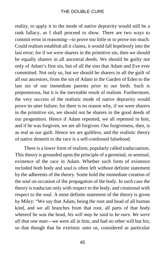reality, to apply it to the mode of native depravity would still be a rank fallacy, as I shall proceed to show. There are two ways to commit error in reasoning—to prove too little or to prove too much. Could realism establish all it claims, it would fall hopelessly into the last error; for if we were sharers in the primitive sin, then we should be equally sharers in all ancestral deeds. We should be guilty not only of Adam's first sin, but of all the sins that Adam and Eve ever committed. Not only so, but we should be sharers in all the guilt of all our ancestors, from the sin of Adam in the Garden of Eden to the last sin of our immediate parents prior to our birth. Such is preposterous, but it is the inevitable result of realism. Furthermore, the very success of the realistic mode of native depravity would prove its utter failure; for there is no reason why, if we were sharers in the primitive sin, we should not be sharers in the good deeds of our progenitors. Hence if Adam repented, we all repented in him, and if he was forgiven, we are all forgiven. Our forgiveness, then, is as real as our guilt. Hence we are guiltless, and the realistic theory of native demerit to the race is a self-confessed falsehood.

There is a lower form of realism, popularly called traducianism. This theory is grounded upon the principle of a germinal, or seminal, existence of the race in Adam. Whether such form of existence included both body and soul is often left without definite statement by the adherents of the theory. Some hold the immediate creation of the soul on occasion of the propagation of the body. In such case the theory is traducian only with respect to the body, and creational with respect to the soul. A most definite statement of the theory is given by Miley: "We say that Adam, being the root and head of all human kind, and we all branches from that root, all parts of that body whereof he was the head, *his will may be said to be ours. We were all that one man*—we were all in him, and had no other will but his; so that though that be extrinsic unto us, considered as particular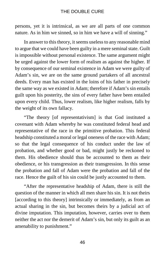persons, yet it is intrinsical, as we are all parts of one common nature. As in him we sinned, so in him we have a will of sinning."

In answer to this theory, it seems useless to any reasonable mind to argue that we could have been guilty in a mere seminal state. Guilt is impossible without personal existence. The same argument might be urged against the lower form of realism as against the higher. If by consequence of our seminal existence in Adam we were guilty of Adam's sin, we are on the same ground partakers of all ancestral deeds. Every man has existed in the loins of his father in precisely the same way as we existed in Adam; therefore if Adam's sin entails guilt upon his posterity, the sins of every father have been entailed upon every child. Thus, lower realism, like higher realism, falls by the weight of its own fallacy.

"The theory [of representativism] is that God instituted a covenant with Adam whereby he was constituted federal head and representative of the race in the primitive probation. This federal headship constituted a moral or legal oneness of the race with Adam; so that the legal consequence of his conduct under the law of probation, and whether good or bad, might justly be reckoned to them. His obedience should thus be accounted to them as their obedience, or his transgression as their transgression. In this sense the probation and fall of Adam were the probation and fall of the race. Hence the guilt of his sin could be justly accounted to them.

"After the representative headship of Adam, there is still the question of the manner in which all men share his sin. It is not theirs [according to this theory] intrinsically or immediately, as from an actual sharing in the sin, but becomes theirs by a judicial act of divine imputation. This imputation, however, carries over to them neither the act nor the demerit of Adam's sin, but only its guilt as an amenability to punishment."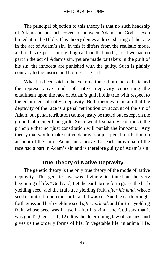The principal objection to this theory is that no such headship of Adam and no such covenant between Adam and God is even hinted at in the Bible. This theory denies a direct sharing of the race in the act of Adam's sin. In this it differs from the realistic mode, and in this respect is more illogical than that mode; for if we had no part in the act of Adam's sin, yet are made partakers in the guilt of his sin, the innocent are punished with the guilty. Such is plainly contrary to the justice and holiness of God.

What has been said in the examination of both the realistic and the representative mode of native depravity concerning the entailment upon the race of Adam's guilt holds true with respect to the entailment of native depravity. Both theories maintain that the depravity of the race is a penal retribution on account of the sin of Adam, but penal retribution cannot justly be meted out except on the ground of demerit or guilt. Such would squarely contradict the principle that no "just constitution will punish the innocent." Any theory that would make native depravity a just penal retribution on account of the sin of Adam must prove that each individual of the race had a part in Adam's sin and is therefore guilty of Adam's sin.

#### **True Theory of Native Depravity**

The genetic theory is the only true theory of the mode of native depravity. The genetic law was divinely instituted at the very beginning of life. "God said, Let the earth bring forth grass, the herb yielding seed, and the fruit-tree yielding fruit, *after his kind*, whose seed is in itself, upon the earth: and it was so. And the earth brought forth grass and herb yielding seed *after his kind*, and the tree yielding fruit, whose seed was in itself, after his kind: and God saw that it was good" (Gen. 1:11, 12). It is the determining law of species, and gives us the orderly forms of life. In vegetable life, in animal life,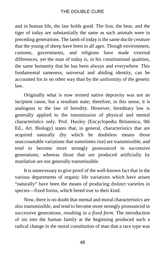and in human life, the law holds good. The lion, the bear, and the tiger of today are substantially the same as such animals were in preceding generations. The lamb of today is the same docile creature that the young of sheep have been in all ages. Though environment, customs, governments, and religions have made external differences, yet the man of today is, in his constitutional qualities, the same humanity that he has been always and everywhere. This fundamental sameness, universal and abiding identity, can be accounted for in no other way than by the uniformity of the genetic law.

Originally what is now termed native depravity was not an incipient cause, but a resultant state; therefore, in this sense, it is analogous to the law of heredity. However, hereditary law is generally applied to the transmission of physical and mental characteristics only. Prof. Huxley (Encyclopedia Britannica, 9th Ed., Art. Biology) states that, in general, characteristics that are acquired naturally (by which he doubtless means those unaccountable variations that sometimes rise) are transmissible, and tend to become more strongly pronounced in successive generations; whereas those that are produced artificially by mutilation are not generally transmissible.

It is unnecessary to give proof of the well-known fact that in the various departments of organic life variations which have arisen "naturally" have been the means of producing distinct varieties in species—fixed forms, which breed true to their kind.

Now, there is no doubt that mental and moral characteristics are also transmissible, and tend to become more strongly pronounced in successive generations, resulting in a *fixed form*. The introduction of sin into the human family at the beginning produced such a radical change in the moral constitution of man that a race type was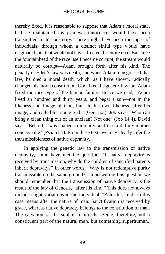thereby fixed. It is reasonable to suppose that Adam's moral state, had he maintained his primeval innocence, would have been transmitted to his posterity. There might have been the lapse of individuals, through whom a distinct sinful type would have originated; but that would not have affected the entire race. But since the fountainhead of the race itself became corrupt, the stream would naturally be corrupt—Adam brought forth after his kind. The penalty of Eden's law was death, and when Adam transgressed that law, he died a moral death, which, as I have shown, radically changed his moral constitution. God fixed the genetic law, but Adam fixed the race type of the human family. Hence we read, "Adam lived an hundred and thirty years, and begat a son—not in the likeness and image of God, but—in his own likeness, after his image; and called his name Seth" (Gen. 5:3). Job says, "Who can bring a clean thing out of an unclean? Not one" (Job 14:4). David says, "Behold, I was shapen in iniquity, and in sin did my mother conceive me" (Psa. 51:5). From these texts we may clearly infer the transmissibleness of native depravity.

In applying the genetic law to the transmission of native depravity, some have met the question, "If native depravity is received by transmission, why do the children of sanctified parents inherit depravity?" In other words, "Why is not redemptive purity transmissible on the same ground?" In answering this question we should remember that the transmission of native depravity is the result of the law of Genesis, "after his kind." This does not always include slight variations in the individual. "After his kind" in this case means after the nature of man. Sanctification is received by grace, whereas native depravity belongs to the constitution of man. The salvation of the soul is a miracle. Being, therefore, not a constituent part of the natural man, but something superhuman,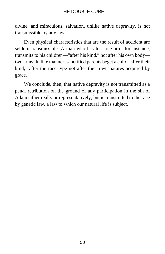divine, and miraculous, salvation, unlike native depravity, is not transmissible by any law.

Even physical characteristics that are the result of accident are seldom transmissible. A man who has lost one arm, for instance, transmits to his children—"after his kind," not after his own body two arms. In like manner, sanctified parents beget a child "after their kind," after the race type not after their own natures acquired by grace.

We conclude, then, that native depravity is not transmitted as a penal retribution on the ground of any participation in the sin of Adam either really or representatively, but is transmitted to the race by genetic law, a law to which our natural life is subject.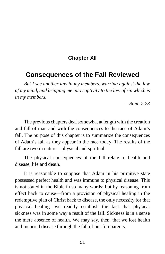### **Chapter XII**

## **Consequences of the Fall Reviewed**

*But I see another law in my members, warring against the law of my mind, and bringing me into captivity to the law of sin which is in my members.*

*—Rom. 7:23*

The previous chapters deal somewhat at length with the creation and fall of man and with the consequences to the race of Adam's fall. The purpose of this chapter is to summarize the consequences of Adam's fall as they appear in the race today. The results of the fall are two in nature—physical and spiritual.

The physical consequences of the fall relate to health and disease, life and death.

It is reasonable to suppose that Adam in his primitive state possessed perfect health and was immune to physical disease. This is not stated in the Bible in so many words; but by reasoning from effect back to cause—from a provision of physical healing in the redemptive plan of Christ back to disease, the only necessity for that physical healing—we readily establish the fact that physical sickness was in some way a result of the fall. Sickness is in a sense the mere absence of health. We may say, then, that we lost health and incurred disease through the fall of our foreparents.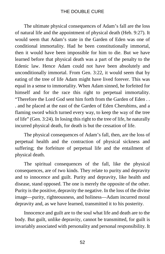The ultimate physical consequences of Adam's fall are the loss of natural life and the appointment of physical death (Heb. 9:27). It would seem that Adam's state in the Garden of Eden was one of conditional immortality. Had he been constitutionally immortal, then it would have been impossible for him to die. But we have learned before that physical death was a part of the penalty to the Edenic law. Hence Adam could not have been absolutely and unconditionally immortal. From Gen. 3:22, it would seem that by eating of the tree of life Adam might have lived forever. This was equal in a sense to immortality. When Adam sinned, he forfeited for himself and for the race this right to perpetual immortality. "Therefore the Lord God sent him forth from the Garden of Eden . . . and he placed at the east of the Garden of Eden Cherubims, and a flaming sword which turned every way, to keep the way of the tree of life" (Gen. 3:24). In losing this right to the tree of life, he naturally incurred physical death, for death is but the cessation of life.

The physical consequences of Adam's fall, then, are the loss of perpetual health and the contraction of physical sickness and suffering; the forfeiture of perpetual life and the entailment of physical death.

The spiritual consequences of the fall, like the physical consequences, are of two kinds. They relate to purity and depravity and to innocence and guilt. Purity and depravity, like health and disease, stand opposed. The one is merely the opposite of the other. Purity is the positive, depravity the negative. In the loss of the divine image—purity, righteousness, and holiness—Adam incurred moral depravity and, as we have learned, transmitted it to his posterity.

Innocence and guilt are to the soul what life and death are to the body. But guilt, unlike depravity, cannot be transmitted, for guilt is invariably associated with personality and personal responsibility. It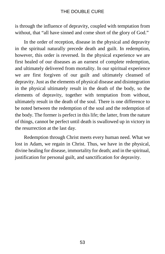is through the influence of depravity, coupled with temptation from without, that "all have sinned and come short of the glory of God."

In the order of reception, disease in the physical and depravity in the spiritual naturally precede death and guilt. In redemption, however, this order is reversed. In the physical experience we are first healed of our diseases as an earnest of complete redemption, and ultimately delivered from mortality. In our spiritual experience we are first forgiven of our guilt and ultimately cleansed of depravity. Just as the elements of physical disease and disintegration in the physical ultimately result in the death of the body, so the elements of depravity, together with temptation from without, ultimately result in the death of the soul. There is one difference to be noted between the redemption of the soul and the redemption of the body. The former is perfect in this life; the latter, from the nature of things, cannot be perfect until death is swallowed up in victory in the resurrection at the last day.

Redemption through Christ meets every human need. What we lost in Adam, we regain in Christ. Thus, we have in the physical, divine healing for disease, immortality for death; and in the spiritual, justification for personal guilt, and sanctification for depravity.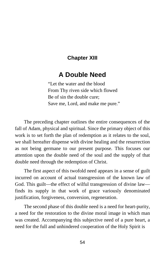## **Chapter XIII**

# **A Double Need**

"Let the water and the blood From Thy riven side which flowed Be of sin the double cure; Save me, Lord, and make me pure."

The preceding chapter outlines the entire consequences of the fall of Adam, physical and spiritual. Since the primary object of this work is to set forth the plan of redemption as it relates to the soul, we shall hereafter dispense with divine healing and the resurrection as not being germane to our present purpose. This focuses our attention upon the double need of the soul and the supply of that double need through the redemption of Christ.

The first aspect of this twofold need appears in a sense of guilt incurred on account of actual transgression of the known law of God. This guilt—the effect of wilful transgression of divine law finds its supply in that work of grace variously denominated justification, forgiveness, conversion, regeneration.

The second phase of this double need is a need for heart-purity, a need for the restoration to the divine moral image in which man was created. Accompanying this subjective need of a pure heart, a need for the full and unhindered cooperation of the Holy Spirit is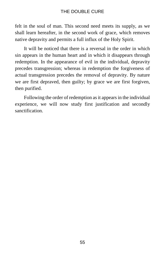felt in the soul of man. This second need meets its supply, as we shall learn hereafter, in the second work of grace, which removes native depravity and permits a full influx of the Holy Spirit.

It will be noticed that there is a reversal in the order in which sin appears in the human heart and in which it disappears through redemption. In the appearance of evil in the individual, depravity precedes transgression; whereas in redemption the forgiveness of actual transgression precedes the removal of depravity. By nature we are first depraved, then guilty; by grace we are first forgiven, then purified.

Following the order of redemption as it appears in the individual experience, we will now study first justification and secondly sanctification.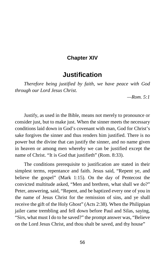### **Chapter XIV**

## **Justification**

*Therefore being justified by faith, we have peace with God through our Lord Jesus Christ.*

*—Rom. 5:1*

Justify, as used in the Bible, means not merely to pronounce or consider just, but to make just. When the sinner meets the necessary conditions laid down in God's covenant with man, God for Christ's sake forgives the sinner and thus renders him justified. There is no power but the divine that can justify the sinner, and no name given in heaven or among men whereby we can be justified except the name of Christ. "It is God that justifieth" (Rom. 8:33).

The conditions prerequisite to justification are stated in their simplest terms, repentance and faith. Jesus said, "Repent ye, and believe the gospel" (Mark 1:15). On the day of Pentecost the convicted multitude asked, "Men and brethren, what shall we do?" Peter, answering, said, "Repent, and be baptized every one of you in the name of Jesus Christ for the remission of sins, and ye shall receive the gift of the Holy Ghost" (Acts 2:38). When the Philippian jailer came trembling and fell down before Paul and Silas, saying, "Sirs, what must I do to he saved?" the prompt answer was, "Believe on the Lord Jesus Christ, and thou shalt be saved, and thy house"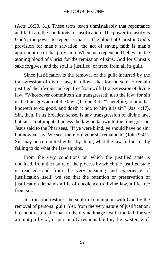(Acts 16:30, 31). These texts teach unmistakably that repentance and faith are the conditions of justification. The power to justify is God's; the power to repent is man's. The blood of Christ is God's provision for man's salvation; the act of saving faith is man's appropriation of that provision. When men repent and believe in the atoning blood of Christ for the remission of sins, God for Christ's sake forgives, and the soul is justified, or freed from all its guilt.

Since justification is the removal of the guilt incurred by the transgression of divine law, it follows that for the soul to remain justified the life must be kept free from wilful transgression of divine law. "Whosoever committeth sin transgresseth also the law: for sin is the transgression of the law" (1 John 3:4). "Therefore, to him that knoweth to do good, and doeth it not, to him it is sin" (Jas. 4:17). Sin, then, in its broadest sense, is any transgression of divine law, but sin is not imputed unless the law be known to the transgressor. Jesus said to the Pharisees, "If ye were blind, ye should have no sin: but now ye say, We see; therefore your sin remaineth" (John 9:41). Sin may be committed either by doing what the law forbids or by failing to do what the law enjoins.

From the very conditions on which the justified state is obtained, from the nature of the process by which the justified state is reached, and from the very meaning and experience of justification itself, we see that the retention or preservation of justification demands a life of obedience to divine law, a life free from sin.

Justification restores the soul to communion with God by the removal of personal guilt. Yet, from the very nature of justification, it cannot restore the man to the divine image lost in the fall, for we are not guilty of, or personally responsible for, the existence of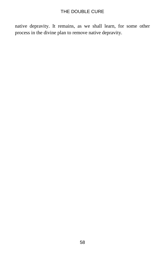native depravity. It remains, as we shall learn, for some other process in the divine plan to remove native depravity.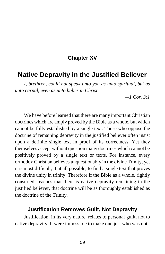### **Chapter XV**

## **Native Depravity in the Justified Believer**

*I, brethren, could not speak unto you as unto spiritual, but as unto carnal, even as unto babes in Christ.*

*—1 Cor. 3:1*

We have before learned that there are many important Christian doctrines which are amply proved by the Bible as a whole, but which cannot be fully established by a single text. Those who oppose the doctrine of remaining depravity in the justified believer often insist upon a definite single text in proof of its correctness. Yet they themselves accept without question many doctrines which cannot be positively proved by a single text or texts. For instance, every orthodox Christian believes unquestionably in the divine Trinity, yet it is most difficult, if at all possible, to find a single text that proves the divine unity in trinity. Therefore if the Bible as a whole, rightly construed, teaches that there is native depravity remaining in the justified believer, that doctrine will be as thoroughly established as the doctrine of the Trinity.

#### **Justification Removes Guilt, Not Depravity**

Justification, in its very nature, relates to personal guilt, not to native depravity. It were impossible to make one just who was not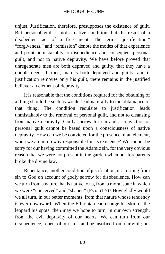unjust. Justification, therefore, presupposes the existence of guilt. But personal guilt is not a native condition, but the result of a disobedient act of a free agent. The terms "justification," "forgiveness," and "remission" denote the modes of that experience and point unmistakably to disobedience and consequent personal guilt, and not to native depravity. We have before proved that unregenerate men are both depraved and guilty, that they have a double need. If, then, man is both depraved and guilty, and if justification removes only his guilt, there remains in the justified believer an element of depravity.

It is reasonable that the conditions required for the obtaining of a thing should be such as would lead naturally to the obtainance of that thing. The condition requisite to justification leads unmistakably to the removal of personal guilt, and not to cleansing from native depravity. Godly sorrow for sin and a conviction of personal guilt cannot be based upon a consciousness of native depravity. How can we be convicted for the presence of an element, when we are in no way responsible for its existence? We cannot be sorry for our having committed the Adamic sin, for the very obvious reason that we were not present in the garden when our foreparents broke the divine law.

Repentance, another condition of justification, is a turning from sin to God on account of godly sorrow for disobedience. How can we turn from a nature that is native to us, from a moral state in which we were "conceived" and "shapen" (Psa. 51:5)? How gladly would we all turn, in our better moments, from that nature whose tendency is ever downward! When the Ethiopian can change his skin or the leopard his spots, then may we hope to turn, in our own strength, from the evil depravity of our hearts. We can turn from our disobedience, repent of our sins, and be justified from our guilt; but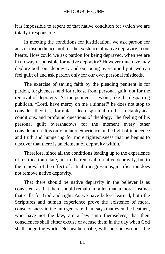it is impossible to repent of that native condition for which we are totally irresponsible.

In meeting the conditions for justification, we ask pardon for acts of disobedience, not for the existence of native depravity in our hearts. How could we ask pardon for being depraved, when we are in no way responsible for native depravity? However much we may deplore both our depravity and our being overcome by it, we can feel guilt of and ask pardon only for our own personal misdeeds.

The exercise of saving faith by the pleading penitent is for pardon, forgiveness, and for release from personal guilt, not for the removal of depravity. As the penitent cries out, like the despairing publican, "Lord, have mercy on me a sinner!" he does not stop to consider theories, formulas, deep spiritual truths, metaphysical conditions, and profound questions of theology. The feeling of his personal guilt overshadows for the moment every other consideration. It is only in later experience in the light of innocence and truth and hungering for more righteousness that he begins to discover that there is an element of depravity within.

Therefore, since all the conditions leading up to the experience of justification relate, not to the removal of native depravity, but to the removal of the effect of actual transgressions, justification does not remove native depravity.

That there should be native depravity in the believer is as consistent as that there should remain in fallen man a moral instinct that calls for God and right. As we have before learned, both the Scriptures and human experience prove the existence of moral consciousness in the unregenerate. Paul says that even the heathen, who have not the law, are a law unto themselves; that their consciences shall either excuse or accuse them in the day when God shall judge the world. No heathen tribe, with one or two possible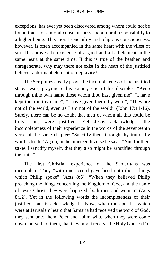exceptions, has ever yet been discovered among whom could not be found traces of a moral consciousness and a moral responsibility to a higher being. This moral sensibility and religious consciousness, however, is often accompanied in the same heart with the vilest of sin. This proves the existence of a good and a bad element in the same heart at the same time. If this is true of the heathen and unregenerate, why may there not exist in the heart of the justified believer a dormant element of depravity?

The Scriptures clearly prove the incompleteness of the justified state. Jesus, praying to his Father, said of his disciples, "Keep through thine own name those whom thou hast given me"; "I have kept them in thy name"; "I have given them thy word"; "They are not of the world, even as I am not of the world" (John 17:11-16). Surely, there can be no doubt that men of whom all this could be truly said, were justified. Yet Jesus acknowledges the incompleteness of their experience in the words of the seventeenth verse of the same chapter: "Sanctify them through thy truth; thy word is truth." Again, in the nineteenth verse he says, "And for their sakes I sanctify myself, that they also might be sanctified through the truth"

The first Christian experience of the Samaritans was incomplete. They "with one accord gave heed unto those things which Philip spoke" (Acts 8:6). "When they believed Philip preaching the things concerning the kingdom of God, and the name of Jesus Christ, they were baptized, both men and women" (Acts 8:12). Yet in the following words the incompleteness of their justified state is acknowledged: "Now, when the apostles which were at Jerusalem heard that Samaria had received the word of God, they sent unto them Peter and John: who, when they were come down, prayed for them, that they might receive the Holy Ghost: (For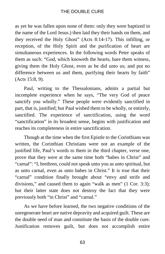as yet he was fallen upon none of them: only they were baptized in the name of the Lord Jesus.) then laid they their hands on them, and they received the Holy Ghost" (Acts 8:14-17). This infilling, or reception, of the Holy Spirit and the purification of heart are simultaneous experiences. In the following words Peter speaks of them as such: "God, which knoweth the hearts, bare them witness, giving them the Holy Ghost, even as he did unto us; and put no difference between us and them, purifying their hearts by faith" (Acts 15:8, 9).

Paul, writing to the Thessalonians, admits a partial but incomplete experience when he says, "The very God of peace sanctify you wholly." These people were evidently sanctified in part, that is, justified; but Paul wished them to be wholly, or entirely, sanctified. The experience of sanctification, using the word "sanctification" in its broadest sense, begins with justification and reaches its completeness in entire sanctification.

Though at the time when the first Epistle to the Corinthians was written, the Corinthian Christians were not an example of the justified life, Paul's words to them in the third chapter, verse one, prove that they were at the same time both "babes in Christ" and "carnal": "I, brethren, could not speak unto you as unto spiritual, but as unto carnal, even as unto babes in Christ." It is true that their "carnal" condition finally brought about "envy and strife and divisions," and caused them to again "walk as men" (1 Cor. 3:3); but their latter state does not destroy the fact that they were previously both "in Christ" and "carnal."

As we have before learned, the two negative conditions of the unregenerate heart are native depravity and acquired guilt. These are the double need of man and constitute the basis of the double cure. Justification removes guilt, but does not accomplish entire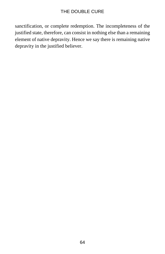sanctification, or complete redemption. The incompleteness of the justified state, therefore, can consist in nothing else than a remaining element of native depravity. Hence we say there is remaining native depravity in the justified believer.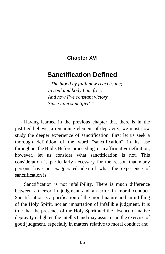## **Chapter XVI**

# **Sanctification Defined**

*"The blood by faith now reaches me; In soul and body I am free, And now I've constant victory Since I am sanctified."*

Having learned in the previous chapter that there is in the justified believer a remaining element of depravity, we must now study the deeper experience of sanctification. First let us seek a thorough definition of the word "sanctification" in its use throughout the Bible. Before proceeding to an affirmative definition, however, let us consider what sanctification is not. This consideration is particularly necessary for the reason that many persons have an exaggerated idea of what the experience of sanctification is.

Sanctification is not infallibility. There is much difference between an error in judgment and an error in moral conduct. Sanctification is a purification of the moral nature and an infilling of the Holy Spirit, not an impartation of infallible judgment. It is true that the presence of the Holy Spirit and the absence of native depravity enlighten the intellect and may assist us in the exercise of good judgment, especially in matters relative to moral conduct and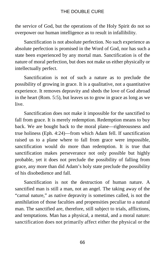the service of God, but the operations of the Holy Spirit do not so overpower our human intelligence as to result in infallibility.

Sanctification is not absolute perfection. No such experience as absolute perfection is promised in the Word of God, nor has such a state been experienced by any mortal man. Sanctification is of the nature of moral perfection, but does not make us either physically or intellectually perfect.

Sanctification is not of such a nature as to preclude the possibility of growing in grace. It is a qualitative, not a quantitative experience. It removes depravity and sheds the love of God abroad in the heart (Rom. 5:5), but leaves us to grow in grace as long as we live.

Sanctification does not make it impossible for the sanctified to fall from grace. It is merely redemption. Redemption means to buy back. We are bought back to the moral plane—righteousness and true holiness (Eph. 4:24)—from which Adam fell. If sanctification raised us to a plane where to fall from grace were impossible, sanctification would do more than redemption. It is true that sanctification makes perseverance not only possible but highly probable, yet it does not preclude the possibility of falling from grace, any more than did Adam's holy state preclude the possibility of his disobedience and fall.

Sanctification is not the destruction of human nature. A sanctified man is still a man, not an angel. The taking away of the "carnal nature," as native depravity is sometimes called, is not the annihilation of those faculties and propensities peculiar to a natural man. The sanctified are, therefore, still subject to trials, afflictions, and temptations. Man has a physical, a mental, and a moral nature: sanctification does not primarily affect either the physical or the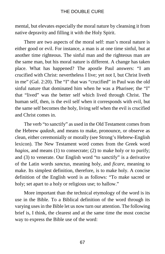mental, but elevates especially the moral nature by cleansing it from native depravity and filling it with the Holy Spirit.

There are two aspects of the moral self: man's moral nature is either good or evil. For instance, a man is at one time sinful, but at another time righteous. The sinful man and the righteous man are the same man, but his moral nature is different. A change has taken place. What has happened? The apostle Paul answers: "I am crucified with Christ: nevertheless I live; yet not I, but Christ liveth in me" (Gal. 2:20). The "I" that was "crucified" in Paul was the old sinful nature that dominated him when he was a Pharisee; the "I" that "lived" was the better self which lived through Christ. The human self, then, is the evil self when it corresponds with evil, but the same self becomes the holy, living self when the evil is crucified and Christ comes in.

The verb "to sanctify" as used in the Old Testament comes from the Hebrew *qadash*, and means to make, pronounce, or observe as clean, either ceremonially or morally (see Strong's Hebrew-English lexicon). The New Testament word comes from the Greek word *hagios*, and means (1) to consecrate; (2) to make holy or to purify; and (3) to venerate. Our English word "to sanctify" is a derivative of the Latin words *sanctus*, meaning holy, and *ficare*, meaning to make. Its simplest definition, therefore, is to make holy. A concise definition of the English word is as follows: "To make sacred or holy; set apart to a holy or religious use; to hallow."

More important than the technical etymology of the word is its use in the Bible. To a Biblical definition of the word through its varying uses in the Bible let us now turn our attention. The following brief is, I think, the clearest and at the same time the most concise way to express the Bible use of the word: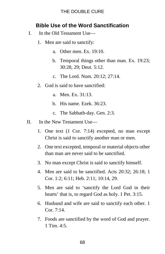## **Bible Use of the Word Sanctification**

- I. In the Old Testament Use—
	- 1. Men are said to sanctify:
		- a. Other men. Ex. 19:10.
		- b. Temporal things other than man. Ex. 19:23; 30:28, 29; Deut. 5:12.
		- c. The Lord. Num. 20:12; 27:14.
	- 2. God is said to have sanctified:
		- a. Men. Ex. 31:13.
		- b. His name. Ezek. 36:23.
		- c. The Sabbath-day. Gen. 2:3.
- II. In the New Testament Use—
	- 1. One text (1 Cor. 7:14) excepted, no man except Christ is said to sanctify another man or men.
	- 2. One text excepted, temporal or material objects other than man are never said to be sanctified.
	- 3. No man except Christ is said to sanctify himself.
	- 4. Men are said to be sanctified. Acts 20:32; 26:18; 1 Cor. 1:2; 6:11; Heb. 2:11; 10:14, 29.
	- 5. Men are said to 'sanctify the Lord God in their hearts' that is, to regard God as holy. 1 Pet. 3:15.
	- 6. Husband and wife are said to sanctify each other. 1 Cor. 7:14.
	- 7. Foods are sanctified by the word of God and prayer. 1 Tim. 4:5.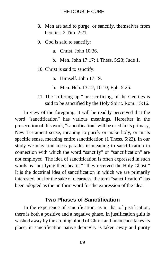- 8. Men are said to purge, or sanctify, themselves from heretics. 2 Tim. 2:21.
- 9. God is said to sanctify:
	- a. Christ. John 10:36.
	- b. Men. John 17:17; 1 Thess. 5:23; Jude 1.
- 10. Christ is said to sanctify:
	- a. Himself. John 17:19.
	- b. Men. Heb. 13:12; 10:10; Eph. 5:26.
- 11. The "offering up," or sacrificing, of the Gentiles is said to be sanctified by the Holy Spirit. Rom. 15:16.

In view of the foregoing, it will be readily perceived that the word "sanctification" has various meanings. Hereafter in the prosecution of this work, "sanctification" will be used in its primary, New Testament sense, meaning to purify or make holy, or in its specific sense, meaning entire sanctification (1 Thess. 5:23). In our study we may find ideas parallel in meaning to sanctification in connection with which the word "sanctify" or "sanctification" are not employed. The idea of sanctification is often expressed in such words as "purifying their hearts," "they received the Holy Ghost." It is the doctrinal idea of sanctification in which we are primarily interested, but for the sake of clearness, the term "sanctification" has been adopted as the uniform word for the expression of the idea.

### **Two Phases of Sanctification**

In the experience of sanctification, as in that of justification, there is both a positive and a negative phase. In justification guilt is washed away by the atoning blood of Christ and innocence takes its place; in sanctification native depravity is taken away and purity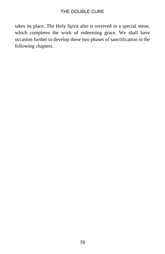takes its place. The Holy Spirit also is received in a special sense, which completes the work of redeeming grace. We shall have occasion further to develop these two phases of sanctification in the following chapters.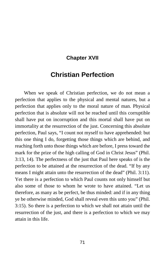## **Chapter XVII**

# **Christian Perfection**

When we speak of Christian perfection, we do not mean a perfection that applies to the physical and mental natures, but a perfection that applies only to the moral nature of man. Physical perfection that is absolute will not be reached until this corruptible shall have put on incorruption and this mortal shall have put on immortality at the resurrection of the just. Concerning this absolute perfection, Paul says, "I count not myself to have apprehended: but this one thing I do, forgetting those things which are behind, and reaching forth unto those things which are before, I press toward the mark for the prize of the high calling of God in Christ Jesus" (Phil. 3:13, 14). The perfectness of the just that Paul here speaks of is the perfection to be attained at the resurrection of the dead. "If by any means I might attain unto the resurrection of the dead" (Phil. 3:11). Yet there is a perfection to which Paul counts not only himself but also some of those to whom he wrote to have attained. "Let us therefore, as many as be perfect, be thus minded: and if in any thing ye be otherwise minded, God shall reveal even this unto you" (Phil. 3:15). So there is a perfection to which we shall not attain until the resurrection of the just, and there is a perfection to which we may attain in this life.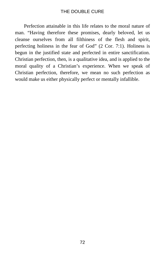Perfection attainable in this life relates to the moral nature of man. "Having therefore these promises, dearly beloved, let us cleanse ourselves from all filthiness of the flesh and spirit, perfecting holiness in the fear of God" (2 Cor. 7:1). Holiness is begun in the justified state and perfected in entire sanctification. Christian perfection, then, is a qualitative idea, and is applied to the moral quality of a Christian's experience. When we speak of Christian perfection, therefore, we mean no such perfection as would make us either physically perfect or mentally infallible.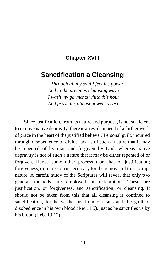## **Chapter XVIII**

# **Sanctification a Cleansing**

*"Through all my soul I feel his power, And in the precious cleansing wave I wash my garments white this hour, And prove his utmost power to save."*

Since justification, from its nature and purpose, is not sufficient to remove native depravity, there is an evident need of a further work of grace in the heart of the justified believer. Personal guilt, incurred through disobedience of divine law, is of such a nature that it may be repented of by man and forgiven by God; whereas native depravity is not of such a nature that it may be either repented of or forgiven. Hence some other process than that of justification; forgiveness, or remission is necessary for the removal of this corrupt nature. A careful study of the Scriptures will reveal that only two general methods are employed in redemption. These are justification, or forgiveness, and sanctification, or cleansing. It should not be taken from this that all cleansing is confined to sanctification, for he washes us from our sins and the guilt of disobedience in his own blood (Rev. 1:5), just as he sanctifies us by his blood (Heb. 13:12).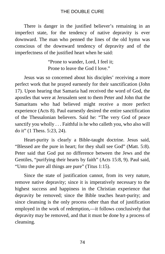There is danger in the justified believer's remaining in an imperfect state, for the tendency of native depravity is ever downward. The man who penned the lines of the old hymn was conscious of the downward tendency of depravity and of the imperfectness of the justified heart when he said:

> "Prone to wander, Lord, I feel it; Prone to leave the God I love."

Jesus was so concerned about his disciples' receiving a more perfect work that he prayed earnestly for their sanctification (John 17). Upon hearing that Samaria had received the word of God, the apostles that were at Jerusalem sent to them Peter and John that the Samaritans who had believed might receive a more perfect experience (Acts 8). Paul earnestly desired the entire sanctification of the Thessalonian believers. Said he: "The very God of peace sanctify you wholly . . . Faithful is he who calleth you, who also will do it" (1 Thess. 5:23, 24).

Heart-purity is clearly a Bible-taught doctrine. Jesus said, "Blessed are the pure in heart; for they shall see God" (Matt. 5:8). Peter said that God put no difference between the Jews and the Gentiles, "purifying their hearts by faith" (Acts 15:8, 9). Paul said, "Unto the pure all things are pure" (Titus 1:15).

Since the state of justification cannot, from its very nature, remove native depravity; since it is imperatively necessary to the highest success and happiness in the Christian experience that depravity be removed; since the Bible teaches heart-purity; and since cleansing is the only process other than that of justification employed in the work of redemption,—it follows conclusively that depravity may be removed, and that it must be done by a process of cleansing.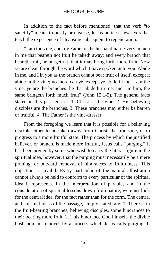In addition to the fact before mentioned, that the verb "to sanctify" means to purify or cleanse, let us notice a few texts that teach the experience of cleansing subsequent to regeneration.

"I am the vine, and my Father is the husbandman. Every branch in me that beareth not fruit he taketh away: and every branch that beareth fruit, he purgeth it, that it may bring forth more fruit. Now ye are clean through the word which I have spoken unto you. Abide in me, and I in you as the branch cannot bear fruit of itself, except it abide in the vine; no more can ye, except ye abide in me. I am the vine, ye are the branches: he that abideth in me, and I in him, the same bringeth forth much fruit" (John 15:1-5). The general facts stated in this passage are: 1. Christ is the vine. 2. His believing disciples are the branches. 3. These branches may either be barren or fruitful. 4. The Father is the vine-dresser.

From the foregoing we learn that it is possible for a believing disciple either to be taken away from Christ, the true vine, or to progress to a more fruitful state. The process by which the justified believer, or branch, is made more fruitful, Jesus calls "purging." It has been argued by some who wish to carry the literal figure in the spiritual idea, however, that the purging must necessarily be a mere pruning, or outward removal of hindrances to fruitfulness. This objection is invalid. Every particular of the natural illustration cannot always be held to conform to every particular of the spiritual idea it represents. In the interpretation of parables and in the consideration of spiritual lessons drawn from nature, we must look for the central idea, for the fact rather than for the form. The central and spiritual ideas of the passage, simply stated, are: 1. There is in the fruit-bearing branches, believing disciples, some hindrances to their bearing more fruit. 2. This hindrance God himself, the divine husbandman, removes by a process which Jesus calls purging. If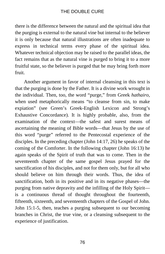there is the difference between the natural and the spiritual idea that the purging is external to the natural vine but internal to the believer it is only because that natural illustrations are often inadequate to express in technical terms every phase of the spiritual idea. Whatever technical objection may be raised to the parallel ideas, the fact remains that as the natural vine is purged to bring it to a more fruitful state, so the believer is purged that he may bring forth more fruit.

Another argument in favor of internal cleansing in this text is that the purging is done by the Father. It is a divine work wrought in the individual. Then, too, the word "purge," from Greek *hathairo*, when used metaphorically means "to cleanse from sin, to make expiation" (see Green's Greek-English Lexicon and Strong's Exhaustive Concordance). It is highly probable, also, from the examination of the context—the safest and surest means of ascertaining the meaning of Bible words—that Jesus by the use of this word "purge" referred to the Pentecostal experience of the disciples. In the preceding chapter (John 14:17, 26) he speaks of the coming of the Comforter. In the following chapter (John 16:13) he again speaks of the Spirit of truth that was to come. Then in the seventeenth chapter of the same gospel Jesus prayed for the sanctification of his disciples, and not for them only, but for all who should believe on him through their words. Thus, the idea of sanctification, both in its positive and in its negative phases—the purging from native depravity and the infilling of the Holy Spirit is a continuous thread of thought throughout the fourteenth, fifteenth, sixteenth, and seventeenth chapters of the Gospel of John. John 15:1-5, then, teaches a purging subsequent to our becoming branches in Christ, the true vine, or a cleansing subsequent to the experience of justification.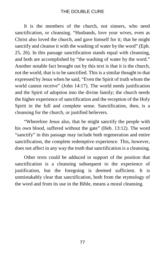It is the members of the church, not sinners, who need sanctification, or cleansing. "Husbands, love your wives, even as Christ also loved the church, and gave himself for it; that he might sanctify and cleanse it with the washing of water by the word" (Eph. 25, 26). In this passage sanctification stands equal with cleansing, and both are accomplished by "the washing of water by the word." Another notable fact brought out by this text is that it is the church, not the world, that is to be sanctified. This is a similar thought to that expressed by Jesus when he said, "Even the Spirit of truth whom the world cannot receive" (John 14:17). The world needs justification and the Spirit of adoption into the divine family; the church needs the higher experience of sanctification and the reception of the Holy Spirit in the full and complete sense. Sanctification, then, is a cleansing for the church, or justified believers.

"Wherefore Jesus also, that he might sanctify the people with his own blood, suffered without the gate" (Heb. 13:12). The word "sanctify" in this passage may include both regeneration and entire sanctification, the complete redemptive experience. This, however, does not affect in any way the truth that sanctification is a cleansing.

Other texts could be adduced in support of the position that sanctification is a cleansing subsequent to the experience of justification, but the foregoing is deemed sufficient. It is unmistakably clear that sanctification, both from the etymology of the word and from its use in the Bible, means a moral cleansing.

77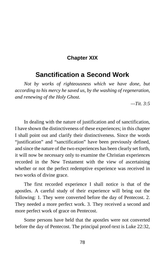## **Chapter XIX**

## **Sanctification a Second Work**

*Not by works of righteousness which we have done, but according to his mercy he saved us, by the washing of regeneration, and renewing of the Holy Ghost.*

*—Tit. 3:5*

In dealing with the nature of justification and of sanctification, I have shown the distinctiveness of these experiences; in this chapter I shall point out and clarify their distinctiveness. Since the words "justification" and "sanctification" have been previously defined, and since the nature of the two experiences has been clearly set forth, it will now be necessary only to examine the Christian experiences recorded in the New Testament with the view of ascertaining whether or not the perfect redemptive experience was received in two works of divine grace.

The first recorded experience I shall notice is that of the apostles. A careful study of their experience will bring out the following: 1. They were converted before the day of Pentecost. 2. They needed a more perfect work. 3. They received a second and more perfect work of grace on Pentecost.

Some persons have held that the apostles were not converted before the day of Pentecost. The principal proof-text is Luke 22:32,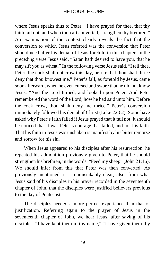where Jesus speaks thus to Peter: "I have prayed for thee, that thy faith fail not: and when thou art converted, strengthen thy brethren." An examination of the context clearly reveals the fact that the conversion to which Jesus referred was the conversion that Peter should need after his denial of Jesus foretold in this chapter. In the preceding verse Jesus said, "Satan hath desired to have you, that he may sift you as wheat." In the following verse Jesus said, "I tell thee, Peter, the cock shall not crow this day, before that thou shalt thrice deny that thou knowest me." Peter's fall, as foretold by Jesus, came soon afterward, when he even cursed and swore that he did not know Jesus. "And the Lord turned, and looked upon Peter. And Peter remembered the word of the Lord, how he had said unto him, Before the cock crow, thou shalt deny me thrice." Peter's conversion immediately followed his denial of Christ (Luke 22:62). Some have asked why Peter's faith failed if Jesus prayed that it fail not. It should be noticed that it was Peter's courage that failed, and not his faith. That his faith in Jesus was unshaken is manifest by his bitter remorse and sorrow for his sin.

When Jesus appeared to his disciples after his resurrection, he repeated his admonition previously given to Peter, that he should strengthen his brethren, in the words, "Feed my sheep" (John 21:16). We should infer from this that Peter was then converted. As previously mentioned, it is unmistakably clear, also, from what Jesus said of his disciples in his prayer recorded in the seventeenth chapter of John, that the disciples were justified believers previous to the day of Pentecost.

The disciples needed a more perfect experience than that of justification. Referring again to the prayer of Jesus in the seventeenth chapter of John, we hear Jesus, after saying of his disciples, "I have kept them in thy name," "I have given them thy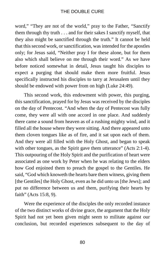word," "They are not of the world," pray to the Father, "Sanctify them through thy truth . . . and for their sakes I sanctify myself, that they also might be sanctified through the truth." It cannot be held that this second work, or sanctification, was intended for the apostles only; for Jesus said, "Neither pray I for these alone, but for them also which shall believe on me through their word." As we have before noticed somewhat in detail, Jesus taught his disciples to expect a purging that should make them more fruitful. Jesus specifically instructed his disciples to tarry at Jerusalem until they should be endowed with power from on high (Luke 24:49).

This second work, this endowment with power, this purging, this sanctification, prayed for by Jesus was received by the disciples on the day of Pentecost. "And when the day of Pentecost was fully come, they were all with one accord in one place. And suddenly there came a sound from heaven as of a rushing mighty wind, and it filled all the house where they were sitting. And there appeared unto them cloven tongues like as of fire, and it sat upon each of them. And they were all filled with the Holy Ghost, and began to speak with other tongues, as the Spirit gave them utterance" (Acts 2:1-4). This outpouring of the Holy Spirit and the purification of heart were associated as one work by Peter when he was relating to the elders how God enjoined them to preach the gospel to the Gentiles. He said, "God which knoweth the hearts bare them witness, giving them [the Gentiles] the Holy Ghost, even as he did unto us [the Jews]; and put no difference between us and them, purifying their hearts by faith" (Acts 15:8, 9).

Were the experience of the disciples the only recorded instance of the two distinct works of divine grace, the argument that the Holy Spirit had not yet been given might seem to militate against our conclusion, but recorded experiences subsequent to the day of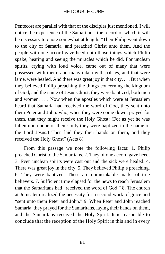Pentecost are parallel with that of the disciples just mentioned. I will notice the experience of the Samaritans, the record of which it will be necessary to quote somewhat at length. "Then Philip went down to the city of Samaria, and preached Christ unto them. And the people with one accord gave heed unto those things which Philip spake, hearing and seeing the miracles which he did. For unclean spirits, crying with loud voice, came out of many that were possessed with them: and many taken with palsies, and that were lame, were healed. And there was great joy in that city. . . . But when they believed Philip preaching the things concerning the kingdom of God, and the name of Jesus Christ, they were baptized, both men and women. . . . Now when the apostles which were at Jerusalem heard that Samaria had received the word of God, they sent unto them Peter and John: who, when they were come down, prayed for them, that they might receive the Holy Ghost: (For as yet he was fallen upon none of them: only they were baptized in the name of the Lord Jesus.) Then laid they their hands on them, and they received the Holy Ghost" (Acts 8).

From this passage we note the following facts: 1. Philip preached Christ to the Samaritans. 2. They of one accord gave heed. 3. Even unclean spirits were cast out and the sick were healed. 4. There was great joy in the city. 5. They believed Philip's preaching. 6. They were baptized. These are unmistakable marks of true believers. 7. Sufficient time elapsed for the news to reach Jerusalem that the Samaritans had "received the word of God." 8. The church at Jerusalem realized the necessity for a second work of grace and "sent unto them Peter and John." 9. When Peter and John reached Samaria, they prayed for the Samaritans, laying their hands on them, and the Samaritans received the Holy Spirit. It is reasonable to conclude that the reception of the Holy Spirit in this and in every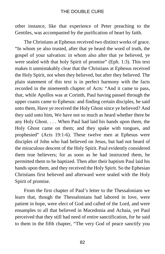other instance, like that experience of Peter preaching to the Gentiles, was accompanied by the purification of heart by faith.

The Christians at Ephesus received two distinct works of grace. "In whom ye also trusted, after that ye heard the word of truth, the gospel of your salvation: in whom also after that ye believed, ye were sealed with that holy Spirit of promise" (Eph. 1:3). This text makes it unmistakably clear that the Christians at Ephesus received the Holy Spirit, not when they believed, but after they believed. The plain statement of this text is in perfect harmony with the facts recorded in the nineteenth chapter of Acts: "And it came to pass, that, while Apollos was at Corinth, Paul having passed through the upper coasts came to Ephesus: and finding certain disciples, he said unto them, Have ye received the Holy Ghost since ye believed? And they said unto him, We have not so much as heard whether there be any Holy Ghost. . . . When Paul had laid his hands upon them, the Holy Ghost came on them; and they spake with tongues, and prophesied" (Acts 19:1-6). These twelve men at Ephesus were disciples of John who had believed on Jesus, but had not heard of the miraculous descent of the Holy Spirit. Paul evidently considered them true believers; for as soon as he had instructed them, he permitted them to be baptized. Then after their baptism Paul laid his hands upon them, and they received the Holy Spirit. So the Ephesian Christians first believed and afterward were sealed with the Holy Spirit of promise.

From the first chapter of Paul's letter to the Thessalonians we learn that, though the Thessalonians had labored in love, were patient in hope, were elect of God and called of the Lord, and were ensamples to all that believed in Macedonia and Achaia, yet Paul perceived that they still had need of entire sanctification, for he said to them in the fifth chapter, "The very God of peace sanctify you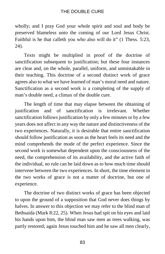wholly; and I pray God your whole spirit and soul and body be preserved blameless unto the coming of our Lord Jesus Christ. Faithful is he that calleth you who also will do it" (1 Thess. 5:23, 24).

Texts might be multiplied in proof of the doctrine of sanctification subsequent to justification; but these four instances are clear and, on the whole, parallel, uniform, and unmistakable in their teaching. This doctrine of a second distinct work of grace agrees also to what we have learned of man's moral need and nature. Sanctification as a second work is a completing of the supply of man's double need, a climax of the double cure.

The length of time that may elapse between the obtaining of justification and of sanctification is irrelevant. Whether sanctification follows justification by only a few minutes or by a few years does not affect in any way the nature and distinctiveness of the two experiences. Naturally, it is desirable that entire sanctification should follow justification as soon as the heart feels its need and the mind comprehends the mode of the perfect experience. Since the second work is somewhat dependent upon the consciousness of the need, the comprehension of its availability, and the active faith of the individual, no rule can be laid down as to how much time should intervene between the two experiences. In short, the time element in the two works of grace is not a matter of doctrine, but one of experience.

The doctrine of two distinct works of grace has been objected to upon the ground of a supposition that God never does things by halves. In answer to this objection we may refer to the blind man of Bethsaida (Mark 8:22, 25). When Jesus had spit on his eyes and laid his hands upon him, the blind man saw men as trees walking, was partly restored; again Jesus touched him and he saw all men clearly,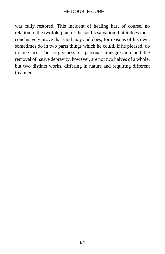was fully restored. This incident of healing has, of course, no relation to the twofold plan of the soul's salvation; but it does most conclusively prove that God may and does, for reasons of his own, sometimes do in two parts things which he could, if he pleased, do in one act. The forgiveness of personal transgression and the removal of native depravity, however, are not two halves of a whole, but two distinct works, differing in nature and requiring different treatment.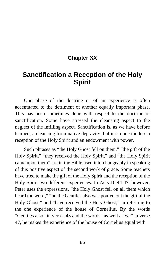## **Chapter XX**

# **Sanctification a Reception of the Holy Spirit**

One phase of the doctrine or of an experience is often accentuated to the detriment of another equally important phase. This has been sometimes done with respect to the doctrine of sanctification. Some have stressed the cleansing aspect to the neglect of the infilling aspect. Sanctification is, as we have before learned, a cleansing from native depravity, but it is none the less a reception of the Holy Spirit and an endowment with power.

Such phrases as "the Holy Ghost fell on them," "the gift of the Holy Spirit," "they received the Holy Spirit," and "the Holy Spirit came upon them" are in the Bible used interchangeably in speaking of this positive aspect of the second work of grace. Some teachers have tried to make the gift of the Holy Spirit and the reception of the Holy Spirit two different experiences. In Acts 10:44-47, however, Peter uses the expressions, "the Holy Ghost fell on all them which heard the word," "on the Gentiles also was poured out the gift of the Holy Ghost," and "have received the Holy Ghost," in referring to the one experience of the house of Cornelius. By the words "Gentiles also" in verses 45 and the words "as well as we" in verse 47, he makes the experience of the house of Cornelius equal with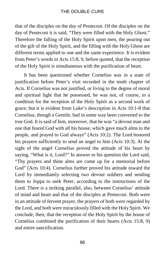that of the disciples on the day of Pentecost. Of the disciples on the day of Pentecost it is said, "They were filled with the Holy Ghost." Therefore the falling of the Holy Spirit upon men, the pouring out of the gift of the Holy Spirit, and the filling with the Holy Ghost are different terms applied to one and the same experience. It is evident from Peter's words in Acts 15:8, 9, before quoted, that the reception of the Holy Spirit is simultaneous with the purification of heart.

It has been questioned whether Cornelius was in a state of justification before Peter's visit recorded in the tenth chapter of Acts. If Cornelius was not justified, or living to the degree of moral and spiritual light that he possessed, he was not, of course, in a condition for the reception of the Holy Spirit as a second work of grace; but it is evident from Luke's description in Acts 10:1-8 that Cornelius, though a Gentile, had in some way been converted to the true God. It is said of him, moreover, that he was "a devout man and one that feared God with all his house, which gave much alms to the people, and prayed to God always" (Acts 10:2). The Lord honored his prayers sufficiently to send an angel to him (Acts 10:3). At the sight of the angel Cornelius proved the attitude of his heart by saying, "What is it, Lord?" In answer to his question the Lord said, "Thy prayers and thine alms are come up for a memorial before God" (Acts 10:4). Cornelius further proved his attitude toward the Lord by immediately selecting two devout soldiers and sending them to Joppa to seek Peter, according to the instructions of the Lord. There is a striking parallel, also, between Cornelius' attitude of mind and heart and that of the disciples at Pentecost. Both were in an attitude of fervent prayer, the prayers of both were regarded by the Lord, and both were miraculously filled with the Holy Spirit. We conclude, then, that the reception of the Holy Spirit by the house of Cornelius combined the purification of their hearts (Acts 15:8, 9) and entire sanctification.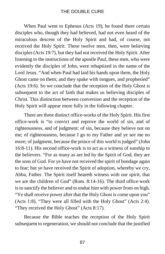When Paul went to Ephesus (Acts 19), he found there certain disciples who, though they had believed, had not even heard of the miraculous descent of the Holy Spirit and had, of course, not received the Holy Spirit. These twelve men, then, were believing disciples (Acts 19:7), but they had not received the Holy Spirit. After listening to the instructions of the apostle Paul, these men, who were evidently the disciples of John, were rebaptized in the name of the Lord Jesus. "And when Paul had laid his hands upon them, the Holy Ghost came on them; and they spake with tongues, and prophesied" (Acts 19:6). So we conclude that the reception of the Holy Ghost is subsequent to the act of faith that makes us believing disciples of Christ. This distinction between conversion and the reception of the Holy Spirit will appear more fully in the following chapter.

There are three distinct office-works of the Holy Spirit. His first office-work is "to convict and reprove the world of sin, and of righteousness, and of judgment: of sin, because they believe not on me; of righteousness, because I go to my Father and ye see me no more; of judgment, because the prince of this world is judged" (John 16:8-11). His second office-work is to act as a witness of sonship to the believers. "For as many as are led by the Spirit of God, they are the sons of God. For ye have not received the spirit of bondage again to fear; but ye have received the Spirit of adoption, whereby we cry, Abba, Father. The Spirit itself beareth witness with our spirit, that we are the children of God" (Rom. 8:14-16). The third office-work is to sanctify the believer and to endue him with power from on high. "Ye shall receive power after that the Holy Ghost is come upon you" (Acts 1:8). "They were all filled with the Holy Ghost" (Acts 2:4). "They received the Holy Ghost" (Acts 8:17).

Because the Bible teaches the reception of the Holy Spirit subsequent to regeneration, we should not conclude that the justified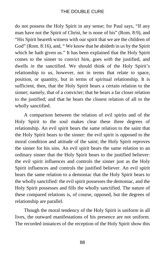do not possess the Holy Spirit in any sense; for Paul says, "If any man have not the Spirit of Christ, he is none of his" (Rom. 8:9), and "His Spirit beareth witness with our spirit that we are the children of God" (Rom. 8:16), and, "We know that he abideth in us by the Spirit which he hath given us." It has been explained that the Holy Spirit comes *to* the sinner to convict him, goes *with* the justified, and dwells *in* the sanctified. We should think of the Holy Spirit's relationship to us, however, not in terms that relate to space, position, or quantity, but in terms of spiritual relationship. It is sufficient, then, that the Holy Spirit bears a certain relation to the sinner; namely, that of a convicter; that he bears a far closer relation to the justified; and that he bears the closest relation of all to the wholly sanctified.

A comparison between the relation of evil spirits and of the Holy Spirit to the soul makes clear these three degrees of relationship. An evil spirit bears the same relation to the saint that the Holy Spirit bears to the sinner: the evil spirit is opposed to the moral condition and attitude of the saint; the Holy Spirit reproves the sinner for his sins. An evil spirit bears the same relation to an ordinary sinner that the Holy Spirit bears to the justified believer: the evil spirit influences and controls the sinner just as the Holy Spirit influences and controls the justified believer. An evil spirit bears the same relation to a demoniac that the Holy Spirit bears to the wholly sanctified: the evil spirit possesses the demoniac, and the Holy Spirit possesses and fills the wholly sanctified. The nature of these compared relations is, of course, opposed, but the degrees of relationship are parallel.

Though the moral tendency of the Holy Spirit is uniform in all lives, the outward manifestations of his presence are not uniform. The recorded instances of the reception of the Holy Spirit show this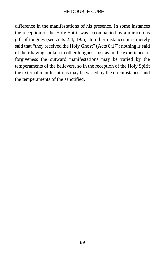difference in the manifestations of his presence. In some instances the reception of the Holy Spirit was accompanied by a miraculous gift of tongues (see Acts 2:4; 19:6). In other instances it is merely said that "they received the Holy Ghost" (Acts 8:17); nothing is said of their having spoken in other tongues. Just as in the experience of forgiveness the outward manifestations may be varied by the temperaments of the believers, so in the reception of the Holy Spirit the external manifestations may be varied by the circumstances and the temperaments of the sanctified.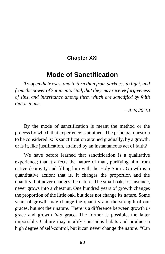## **Chapter XXI**

# **Mode of Sanctification**

*To open their eyes, and to turn than from darkness to light, and from the power of Satan unto God, that they may receive forgiveness of sins, and inheritance among them which are sanctified by faith that is in me.*

*—Acts 26:18*

By the mode of sanctification is meant the method or the process by which that experience is attained. The principal question to be considered is: Is sanctification attained gradually, by a growth, or is it, like justification, attained by an instantaneous act of faith?

We have before learned that sanctification is a qualitative experience; that it affects the nature of man, purifying him from native depravity and filling him with the Holy Spirit. Growth is a quantitative action; that is, it changes the proportion and the quantity, but never changes the nature. The small oak, for instance, never grows into a chestnut. One hundred years of growth changes the proportion of the little oak, but does not change its nature. Some years of growth may change the quantity and the strength of our graces, but not their nature. There is a difference between growth *in* grace and growth *into* grace. The former is possible, the latter impossible. Culture may modify conscious habits and produce a high degree of self-control, but it can never change the nature. "Can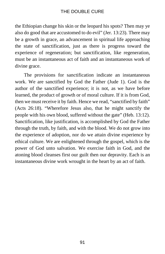the Ethiopian change his skin or the leopard his spots? Then may ye also do good that are accustomed to do evil" (Jer. 13:23). There may be a growth in grace, an advancement in spiritual life approaching the state of sanctification, just as there is progress toward the experience of regeneration; but sanctification, like regeneration, must be an instantaneous act of faith and an instantaneous work of divine grace.

The provisions for sanctification indicate an instantaneous work. We are sanctified by God the Father (Jude 1). God is the author of the sanctified experience; it is not, as we have before learned, the product of growth or of moral culture. If it is from God, then we must receive it by faith. Hence we read, "sanctified by faith" (Acts 26:18). "Wherefore Jesus also, that he might sanctify the people with his own blood, suffered without the gate" (Heb. 13:12). Sanctification, like justification, is accomplished by God the Father through the truth, by faith, and with the blood. We do not grow into the experience of adoption, nor do we attain divine experience by ethical culture. We are enlightened through the gospel, which is the power of God unto salvation. We exercise faith in God, and the atoning blood cleanses first our guilt then our depravity. Each is an instantaneous divine work wrought in the heart by an act of faith.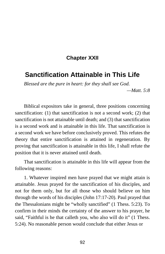## **Chapter XXII**

# **Sanctification Attainable in This Life**

*Blessed are the pure in heart: for they shall see God.*

*—Matt. 5:8*

Biblical expositors take in general, three positions concerning sanctification: (1) that sanctification is not a second work; (2) that sanctification is not attainable until death; and (3) that sanctification is a second work and is attainable in this life. That sanctification is a second work we have before conclusively proved. This refutes the theory that entire sanctification is attained in regeneration. By proving that sanctification is attainable in this life, I shall refute the position that it is never attained until death.

That sanctification is attainable in this life will appear from the following reasons:

1. Whatever inspired men have prayed that we might attain is attainable. Jesus prayed for the sanctification of his disciples, and not for them only, but for all those who should believe on him through the words of his disciples (John 17:17-20). Paul prayed that the Thessalonians might be "wholly sanctified" (1 Thess. 5:23). To confirm in their minds the certainty of the answer to his prayer, he said, "Faithful is he that calleth you, who also will do it" (1 Thess. 5:24). No reasonable person would conclude that either Jesus or

92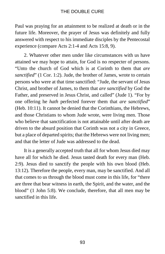Paul was praying for an attainment to be realized at death or in the future life. Moreover, the prayer of Jesus was definitely and fully answered with respect to his immediate disciples by the Pentecostal experience (compare Acts 2:1-4 and Acts 15:8, 9).

2. Whatever other men under like circumstances with us have attained we may hope to attain, for God is no respecter of persons. "Unto the church of God which is at Corinth to them that *are sanctified*" (1 Cor. 1:2). Jude, the brother of James, wrote to certain persons who were at that time sanctified: "Jude, the servant of Jesus Christ, and brother of James, to them that *are sanctified* by God the Father, and preserved in Jesus Christ, and called" (Jude 1). "For by one offering he *hath* perfected forever them that *are sanctified*" (Heb. 10:11). It cannot be denied that the Corinthians, the Hebrews, and those Christians to whom Jude wrote, were living men. Those who believe that sanctification is not attainable until after death are driven to the absurd position that Corinth was not a city in Greece, but a place of departed spirits; that the Hebrews were not living men; and that the letter of Jude was addressed to the dead.

It is a generally accepted truth that all for whom Jesus died may have all for which he died. Jesus tasted death for every man (Heb. 2:9). Jesus died to sanctify the people with his own blood (Heb. 13:12). Therefore the people, every man, may be sanctified. And all that comes to us through the blood must come in this life, for "there are three that bear witness in earth, the Spirit, and the water, and the blood" (1 John 5:8). We conclude, therefore, that all men may be sanctified in this life.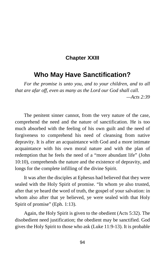### **Chapter XXIII**

# **Who May Have Sanctification?**

*For the promise is unto you, and to your children, and to all that are afar off, even as many as the Lord our God shall call. —Acts 2:39*

The penitent sinner cannot, from the very nature of the case, comprehend the need and the nature of sanctification. He is too much absorbed with the feeling of his own guilt and the need of forgiveness to comprehend his need of cleansing from native depravity. It is after an acquaintance with God and a more intimate acquaintance with his own moral nature and with the plan of redemption that he feels the need of a "more abundant life" (John 10:10), comprehends the nature and the existence of depravity, and longs for the complete infilling of the divine Spirit.

It was after the disciples at Ephesus had believed that they were sealed with the Holy Spirit of promise. "In whom ye also trusted, after that ye heard the word of truth, the gospel of your salvation: in whom also after that ye believed, ye were sealed with that Holy Spirit of promise" (Eph. 1:13).

Again, the Holy Spirit is given to the obedient (Acts 5:32). The disobedient need justification; the obedient may be sanctified. God gives the Holy Spirit to those who ask (Luke 11:9-13). It is probable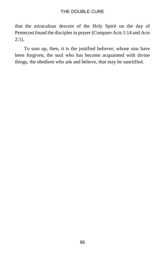that the miraculous descent of the Holy Spirit on the day of Pentecost found the disciples in prayer (Compare Acts 1:14 and Acts  $2:1$ ).

To sum up, then, it is the justified believer, whose sins have been forgiven, the soul who has become acquainted with divine things, the obedient who ask and believe, that may be sanctified.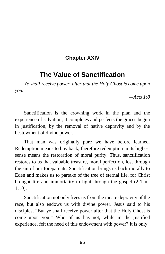## **Chapter XXIV**

# **The Value of Sanctification**

*Ye shall receive power, after that the Holy Ghost is come upon you.*

*—Acts 1:8*

Sanctification is the crowning work in the plan and the experience of salvation; it completes and perfects the graces begun in justification, by the removal of native depravity and by the bestowment of divine power.

That man was originally pure we have before learned. Redemption means to buy back; therefore redemption in its highest sense means the restoration of moral purity. Thus, sanctification restores to us that valuable treasure, moral perfection, lost through the sin of our foreparents. Sanctification brings us back morally to Eden and makes us to partake of the tree of eternal life, for Christ brought life and immortality to light through the gospel (2 Tim. 1:10).

Sanctification not only frees us from the innate depravity of the race, but also endows us with divine power. Jesus said to his disciples, "But ye shall receive power after that the Holy Ghost is come upon you." Who of us has not, while in the justified experience, felt the need of this endowment with power? It is only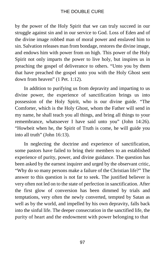by the power of the Holy Spirit that we can truly succeed in our struggle against sin and in our service to God. Loss of Eden and of the divine image robbed man of moral power and enslaved him to sin. Salvation releases man from bondage, restores the divine image, and endows him with power from on high. This power of the Holy Spirit not only imparts the power to live holy, but inspires us in preaching the gospel of deliverance to others. "Unto you by them that have preached the gospel unto you with the Holy Ghost sent down from heaven" (1 Pet. 1:12).

In addition to purifying us from depravity and imparting to us divine power, the experience of sanctification brings us into possession of the Holy Spirit, who is our divine guide. "The Comforter, which is the Holy Ghost, whom the Father will send in my name, he shall teach you all things, and bring all things to your remembrance, whatsoever I have said unto you" (John 14:26). "Howbeit when he, the Spirit of Truth is come, he will guide you into all truth" (John 16:13).

In neglecting the doctrine and experience of sanctification, some pastors have failed to bring their members to an established experience of purity, power, and divine guidance. The question has been asked by the earnest inquirer and urged by the observant critic, "Why do so many persons make a failure of the Christian life?" The answer to this question is not far to seek. The justified believer is very often not led on to the state of perfection in sanctification. After the first glow of conversion has been dimmed by trials and temptations, very often the newly converted, tempted by Satan as well as by the world, and impelled by his own depravity, falls back into the sinful life. The deeper consecration in the sanctified life, the purity of heart and the endowment with power belonging to that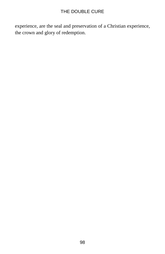experience, are the seal and preservation of a Christian experience, the crown and glory of redemption.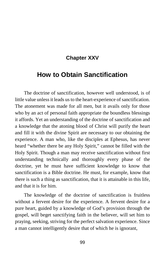## **Chapter XXV**

# **How to Obtain Sanctification**

The doctrine of sanctification, however well understood, is of little value unless it leads us to the heart-experience of sanctification. The atonement was made for all men, but it avails only for those who by an act of personal faith appropriate the boundless blessings it affords. Yet an understanding of the doctrine of sanctification and a knowledge that the atoning blood of Christ will purify the heart and fill it with the divine Spirit are necessary to our obtaining the experience. A man who, like the disciples at Ephesus, has never heard "whether there be any Holy Spirit," cannot be filled with the Holy Spirit. Though a man may receive sanctification without first understanding technically and thoroughly every phase of the doctrine, yet he must have sufficient knowledge to know that sanctification is a Bible doctrine. He must, for example, know that there is such a thing as sanctification, that it is attainable in this life, and that it is for him.

The knowledge of the doctrine of sanctification is fruitless without a fervent desire for the experience. A fervent desire for a pure heart, guided by a knowledge of God's provision through the gospel, will beget sanctifying faith in the believer, will set him to praying, seeking, striving for the perfect salvation experience. Since a man cannot intelligently desire that of which he is ignorant,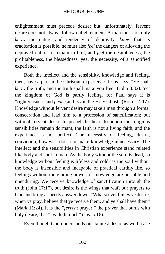enlightenment must precede desire; but, unfortunately, fervent desire does not always follow enlightenment. A man must not only *know* the nature and tendency of depravity—*know* that its eradication is possible, he must also *feel* the dangers of allowing the depraved nature to remain in him, and *feel* the desirableness, the profitableness, the blessedness, yea, the necessity, of a sanctified experience.

Both the intellect and the sensibility, knowledge and feeling, then, have a part in the Christian experience. Jesus says, "Ye shall *know* the truth, and the truth shall make you free" (John 8:32). Yet the kingdom of God is partly feeling, for Paul says it is "righteousness and *peace* and *joy* in the Holy Ghost" (Rom. 14:17). Knowledge without fervent desire may take a man through a formal consecration and lead him to a profession of sanctification; but without fervent desire to propel the heart to action the religious sensibilities remain dormant, the faith is not a living faith, and the experience is not perfect. The necessity of feeling, desire, conviction, however, does not make knowledge unnecessary. The intellect and the sensibilities in Christian experience stand related like body and soul in man. As the body without the soul is dead, so knowledge without feeling is lifeless and cold; as the soul without the body is insensible and incapable of practical earthly life, so feelings without the guiding power of knowledge are unstable and unenduring. We receive knowledge of sanctification through the truth (John 17:17), but desire is the wings that waft our prayers to God and bring a speedy answer down. "Whatsoever things ye desire, when ye pray, believe that ye receive them, and ye shall have them" (Mark 11:24). It is the "*fervent* prayer," the prayer that burns with holy desire, that "availeth much" (Jas. 5:16).

Even though God understands our faintest desire as well as he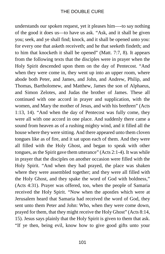understands our spoken request, yet it pleases him—-to say nothing of the good it does us—to have us ask. "Ask, and it shall be given you; seek, and ye shall find; knock, and it shall be opened unto you: for every one that asketh receiveth; and he that seeketh findeth; and to him that knocketh it shall be opened" (Matt. 7:7, 8). It appears from the following texts that the disciples were in prayer when the Holy Spirit descended upon them on the day of Pentecost. "And when they were come in, they went up into an upper room, where abode both Peter, and James, and John, and Andrew, Philip, and Thomas, Bartholomew, and Matthew, James the son of Alphaeus, and Simon Zelotes, and Judas the brother of James. These all continued with one accord in prayer and supplication, with the women, and Mary the mother of Jesus, and with his brethren" (Acts 1:13, 14). "And when the day of Pentecost was fully come, they were all with one accord in one place. And suddenly there came a sound from heaven as of a rushing mighty wind, and it filled all the house where they were sitting. And there appeared unto them cloven tongues like as of fire, and it sat upon each of them. And they were all filled with the Holy Ghost, and began to speak with other tongues, as the Spirit gave them utterance" (Acts 2:1-4). It was while in prayer that the disciples on another occasion were filled with the Holy Spirit. "And when they had prayed, the place was shaken where they were assembled together; and they were all filled with the Holy Ghost, and they spake the word of God with boldness," (Acts 4:31). Prayer was offered, too, when the people of Samaria received the Holy Spirit. "Now when the apostles which were at Jerusalem heard that Samaria had received the word of God, they sent unto them Peter and John: Who, when they were come down, prayed for them, that they might receive the Holy Ghost" (Acts 8:14, 15). Jesus says plainly that the Holy Spirit is given to them that ask. "If ye then, being evil, know how to give good gifts unto your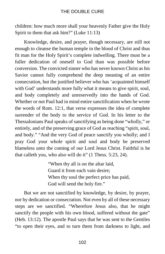children: how much more shall your heavenly Father give the Holy Spirit to them that ask him?" (Luke 11:13)

Knowledge, desire, and prayer, though necessary, are still not enough to cleanse the human temple in the blood of Christ and thus fit man for the Holy Spirit's complete indwelling. There must be a fuller dedication of oneself to God than was possible before conversion. The convicted sinner who has never known Christ as his Savior cannot fully comprehend the deep meaning of an entire consecration, but the justified believer who has 'acquainted himself with God' understands more fully what it means to give spirit, soul, and body completely and unreservedly into the hands of God. Whether or not Paul had in mind entire sanctification when he wrote the words of Rom. 12:1, that verse expresses the idea of complete surrender of the body to the service of God. In his letter to the Thessalonians Paul speaks of sanctifying as being done "wholly," or entirely, and of the preserving grace of God as reaching "spirit, soul, and body." "And the very God of peace sanctify you wholly; and I pray God your whole spirit and soul and body be preserved blameless unto the coming of our Lord Jesus Christ. Faithful is he that calleth you, who also will do it" (1 Thess. 5:23, 24).

> "When thy all is on the altar laid, Guard it from each vain desire; When thy soul the perfect price has paid, God will send the holy fire."

But we are not sanctified by knowledge, by desire, by prayer, nor by dedication or consecration. Not even by all of these necessary steps are we sanctified. "Wherefore Jesus also, that he might sanctify the people with his own blood, suffered without the gate" (Heb. 13:12). The apostle Paul says that he was sent to the Gentiles "to open their eyes, and to turn them from darkness to light, and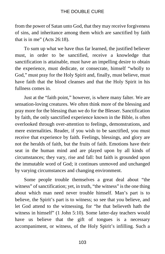from the power of Satan unto God, that they may receive forgiveness of sins, and inheritance among them which are sanctified by faith that is in me" (Acts 26:18).

To sum up what we have thus far learned, the justified believer must, in order to be sanctified, receive a knowledge that sanctification is attainable, must have an impelling desire to obtain the experience, must dedicate, or consecrate, himself "wholly to God," must pray for the Holy Spirit and, finally, must believe, must have faith that the blood cleanses and that the Holy Spirit in his fullness comes in.

Just at the "faith point," however, is where many falter. We are sensation-loving creatures. We often think more of the blessing and pray more for the blessing than we do for the Blesser. Sanctification by faith, the only sanctified experience known in the Bible, is often overlooked through over-attention to feelings, demonstrations, and mere externalities. Reader, if you wish to be sanctified, you must receive that experience by faith. Feelings, blessings, and glory are not the heralds of faith, but the fruits of faith. Emotions have their seat in the human mind and are played upon by all kinds of circumstances; they vary, rise and fall: but faith is grounded upon the immutable word of God; it continues unmoved and unchanged by varying circumstances and changing environment.

Some people trouble themselves a great deal about "the witness" of sanctification; yet, in truth, "the witness" is the one thing about which man need never trouble himself. Man's part is to believe, the Spirit's part is to witness; so see that you believe, and let God attend to the witnessing, for "he that believeth hath the witness in himself" (1 John 5:10). Some latter-day teachers would have us believe that the gift of tongues is a necessary accompaniment, or witness, of the Holy Spirit's infilling. Such a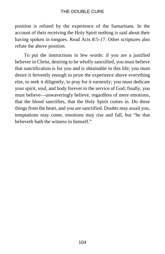position is refuted by the experience of the Samaritans. In the account of their receiving the Holy Spirit nothing is said about their having spoken in tongues. Read Acts 8:5-17. Other scriptures also refute the above position.

To put the instructions in few words: if you are a justified believer in Christ, desiring to be wholly sanctified, you must believe that sanctification is for you and is obtainable in this life; you must desire it fervently enough to prize the experience above everything else, to seek it diligently, to pray for it earnestly; you must dedicate your spirit, soul, and body forever to the service of God; finally, you must believe—unwaveringly believe, regardless of mere emotions, that the blood sanctifies, that the Holy Spirit comes in. Do these things from the heart, and you are sanctified. Doubts may assail you, temptations may come, emotions may rise and fall, but "he that believeth hath the witness in himself."